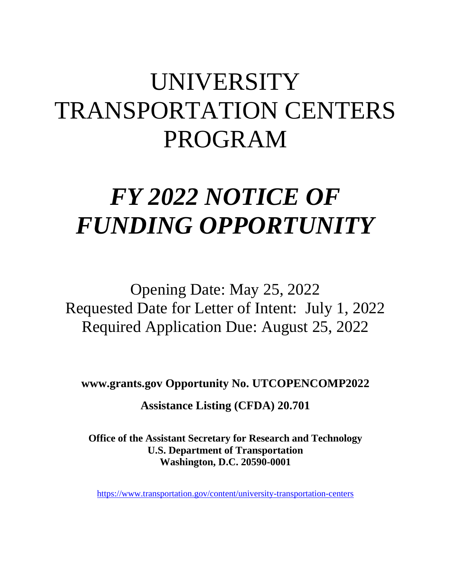# UNIVERSITY TRANSPORTATION CENTERS PROGRAM

# *FY 2022 NOTICE OF FUNDING OPPORTUNITY*

Opening Date: May 25, 2022 Requested Date for Letter of Intent: July 1, 2022 Required Application Due: August 25, 2022

**www.grants.gov Opportunity No. UTCOPENCOMP2022**

**Assistance Listing (CFDA) 20.701**

**Office of the Assistant Secretary for Research and Technology U.S. Department of Transportation Washington, D.C. 20590-0001**

<https://www.transportation.gov/content/university-transportation-centers>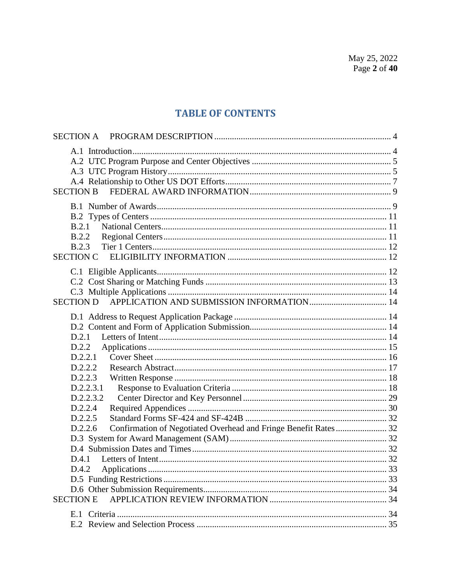# **TABLE OF CONTENTS**

| <b>SECTION A</b>                                                           |  |
|----------------------------------------------------------------------------|--|
|                                                                            |  |
|                                                                            |  |
|                                                                            |  |
|                                                                            |  |
| <b>SECTION B</b>                                                           |  |
|                                                                            |  |
|                                                                            |  |
| B.2.1                                                                      |  |
| B.2.2                                                                      |  |
| B.2.3                                                                      |  |
| <b>SECTION C</b>                                                           |  |
|                                                                            |  |
|                                                                            |  |
|                                                                            |  |
| <b>SECTION D</b>                                                           |  |
|                                                                            |  |
|                                                                            |  |
| D.2.1                                                                      |  |
| D.2.2                                                                      |  |
| D.2.2.1                                                                    |  |
| D.2.2.2                                                                    |  |
| D.2.2.3                                                                    |  |
| D.2.2.3.1                                                                  |  |
| D.2.2.3.2                                                                  |  |
| D.2.2.4                                                                    |  |
| D.2.2.5                                                                    |  |
| Confirmation of Negotiated Overhead and Fringe Benefit Rates 32<br>D.2.2.6 |  |
|                                                                            |  |
|                                                                            |  |
|                                                                            |  |
| D.4.2                                                                      |  |
|                                                                            |  |
|                                                                            |  |
| <b>SECTION E</b>                                                           |  |
|                                                                            |  |
|                                                                            |  |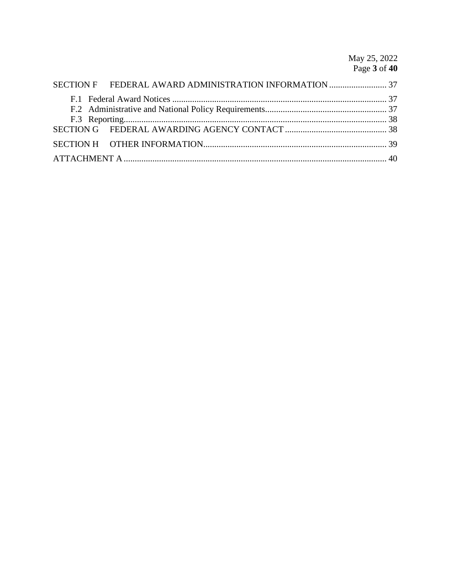May 25, 2022<br>Page 3 of 40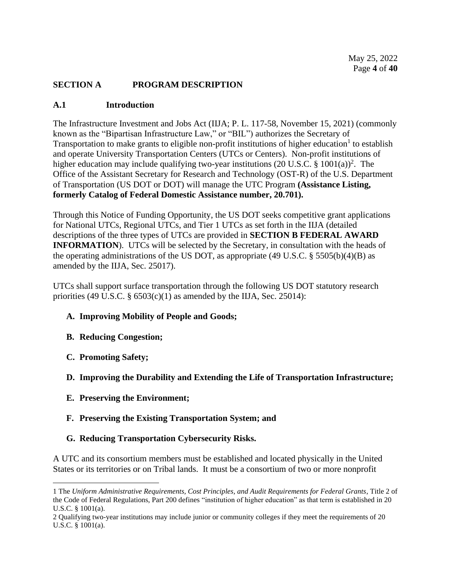## <span id="page-3-0"></span>**SECTION A PROGRAM DESCRIPTION**

#### <span id="page-3-1"></span>**A.1 Introduction**

The Infrastructure Investment and Jobs Act (IIJA; P. L. 117-58, November 15, 2021) (commonly known as the "Bipartisan Infrastructure Law," or "BIL") authorizes the Secretary of Transportation to make grants to eligible non-profit institutions of higher education<sup>1</sup> to establish and operate University Transportation Centers (UTCs or Centers). Non-profit institutions of higher education may include qualifying two-year institutions (20 U.S.C.  $\S$  1001(a))<sup>2</sup>. The Office of the Assistant Secretary for Research and Technology (OST-R) of the U.S. Department of Transportation (US DOT or DOT) will manage the UTC Program **(Assistance Listing, formerly Catalog of Federal Domestic Assistance number, 20.701).**

Through this Notice of Funding Opportunity, the US DOT seeks competitive grant applications for National UTCs, Regional UTCs, and Tier 1 UTCs as set forth in the IIJA (detailed descriptions of the three types of UTCs are provided in **SECTION B FEDERAL AWARD INFORMATION**). UTCs will be selected by the Secretary, in consultation with the heads of the operating administrations of the US DOT, as appropriate (49 U.S.C. § 5505(b)(4)(B) as amended by the IIJA, Sec. 25017).

UTCs shall support surface transportation through the following US DOT statutory research priorities (49 U.S.C.  $\S$  6503(c)(1) as amended by the IIJA, Sec. 25014):

## **A. Improving Mobility of People and Goods;**

- **B. Reducing Congestion;**
- **C. Promoting Safety;**
- **D. Improving the Durability and Extending the Life of Transportation Infrastructure;**
- **E. Preserving the Environment;**
- **F. Preserving the Existing Transportation System; and**
- **G. Reducing Transportation Cybersecurity Risks.**

A UTC and its consortium members must be established and located physically in the United States or its territories or on Tribal lands. It must be a consortium of two or more nonprofit

<sup>1</sup> The *Uniform Administrative Requirements, Cost Principles, and Audit Requirements for Federal Grants*, Title 2 of the Code of Federal Regulations, Part 200 defines "institution of higher education" as that term is established in 20 U.S.C. § 1001(a).

<sup>2</sup> Qualifying two-year institutions may include junior or community colleges if they meet the requirements of 20 U.S.C. § 1001(a).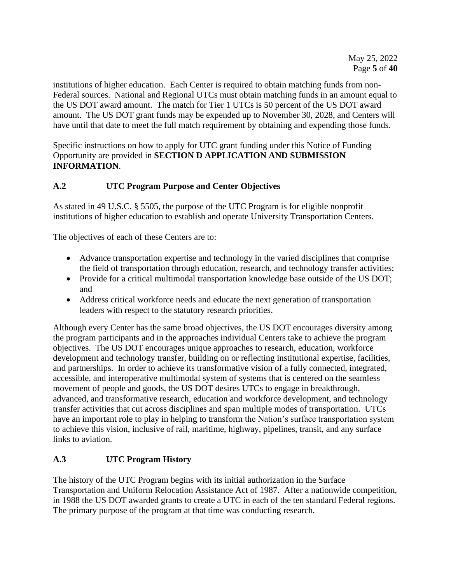institutions of higher education. Each Center is required to obtain matching funds from non-Federal sources. National and Regional UTCs must obtain matching funds in an amount equal to the US DOT award amount. The match for Tier 1 UTCs is 50 percent of the US DOT award amount. The US DOT grant funds may be expended up to November 30, 2028, and Centers will have until that date to meet the full match requirement by obtaining and expending those funds.

Specific instructions on how to apply for UTC grant funding under this Notice of Funding Opportunity are provided in **SECTION D APPLICATION AND SUBMISSION INFORMATION**.

# <span id="page-4-0"></span>**A.2 UTC Program Purpose and Center Objectives**

As stated in 49 U.S.C. § 5505, the purpose of the UTC Program is for eligible nonprofit institutions of higher education to establish and operate University Transportation Centers.

The objectives of each of these Centers are to:

- Advance transportation expertise and technology in the varied disciplines that comprise the field of transportation through education, research, and technology transfer activities;
- Provide for a critical multimodal transportation knowledge base outside of the US DOT; and
- Address critical workforce needs and educate the next generation of transportation leaders with respect to the statutory research priorities.

Although every Center has the same broad objectives, the US DOT encourages diversity among the program participants and in the approaches individual Centers take to achieve the program objectives. The US DOT encourages unique approaches to research, education, workforce development and technology transfer, building on or reflecting institutional expertise, facilities, and partnerships. In order to achieve its transformative vision of a fully connected, integrated, accessible, and interoperative multimodal system of systems that is centered on the seamless movement of people and goods, the US DOT desires UTCs to engage in breakthrough, advanced, and transformative research, education and workforce development, and technology transfer activities that cut across disciplines and span multiple modes of transportation. UTCs have an important role to play in helping to transform the Nation's surface transportation system to achieve this vision, inclusive of rail, maritime, highway, pipelines, transit, and any surface links to aviation.

# <span id="page-4-1"></span>**A.3 UTC Program History**

The history of the UTC Program begins with its initial authorization in the Surface Transportation and Uniform Relocation Assistance Act of 1987. After a nationwide competition, in 1988 the US DOT awarded grants to create a UTC in each of the ten standard Federal regions. The primary purpose of the program at that time was conducting research.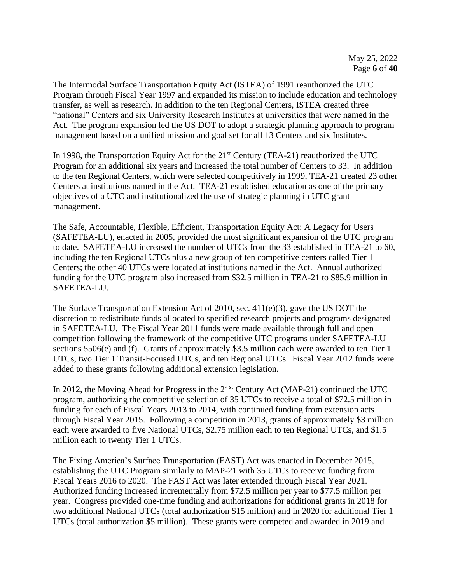The Intermodal Surface Transportation Equity Act (ISTEA) of 1991 reauthorized the UTC Program through Fiscal Year 1997 and expanded its mission to include education and technology transfer, as well as research. In addition to the ten Regional Centers, ISTEA created three "national" Centers and six University Research Institutes at universities that were named in the Act. The program expansion led the US DOT to adopt a strategic planning approach to program management based on a unified mission and goal set for all 13 Centers and six Institutes.

In 1998, the Transportation Equity Act for the  $21<sup>st</sup>$  Century (TEA-21) reauthorized the UTC Program for an additional six years and increased the total number of Centers to 33. In addition to the ten Regional Centers, which were selected competitively in 1999, TEA-21 created 23 other Centers at institutions named in the Act. TEA-21 established education as one of the primary objectives of a UTC and institutionalized the use of strategic planning in UTC grant management.

The Safe, Accountable, Flexible, Efficient, Transportation Equity Act: A Legacy for Users (SAFETEA-LU), enacted in 2005, provided the most significant expansion of the UTC program to date. SAFETEA-LU increased the number of UTCs from the 33 established in TEA-21 to 60, including the ten Regional UTCs plus a new group of ten competitive centers called Tier 1 Centers; the other 40 UTCs were located at institutions named in the Act. Annual authorized funding for the UTC program also increased from \$32.5 million in TEA-21 to \$85.9 million in SAFETEA-LU.

The Surface Transportation Extension Act of 2010, sec. 411(e)(3), gave the US DOT the discretion to redistribute funds allocated to specified research projects and programs designated in SAFETEA-LU. The Fiscal Year 2011 funds were made available through full and open competition following the framework of the competitive UTC programs under SAFETEA-LU sections 5506(e) and (f). Grants of approximately \$3.5 million each were awarded to ten Tier 1 UTCs, two Tier 1 Transit-Focused UTCs, and ten Regional UTCs. Fiscal Year 2012 funds were added to these grants following additional extension legislation.

In 2012, the Moving Ahead for Progress in the  $21<sup>st</sup>$  Century Act (MAP-21) continued the UTC program, authorizing the competitive selection of 35 UTCs to receive a total of \$72.5 million in funding for each of Fiscal Years 2013 to 2014, with continued funding from extension acts through Fiscal Year 2015. Following a competition in 2013, grants of approximately \$3 million each were awarded to five National UTCs, \$2.75 million each to ten Regional UTCs, and \$1.5 million each to twenty Tier 1 UTCs.

The Fixing America's Surface Transportation (FAST) Act was enacted in December 2015, establishing the UTC Program similarly to MAP-21 with 35 UTCs to receive funding from Fiscal Years 2016 to 2020. The FAST Act was later extended through Fiscal Year 2021. Authorized funding increased incrementally from \$72.5 million per year to \$77.5 million per year. Congress provided one-time funding and authorizations for additional grants in 2018 for two additional National UTCs (total authorization \$15 million) and in 2020 for additional Tier 1 UTCs (total authorization \$5 million). These grants were competed and awarded in 2019 and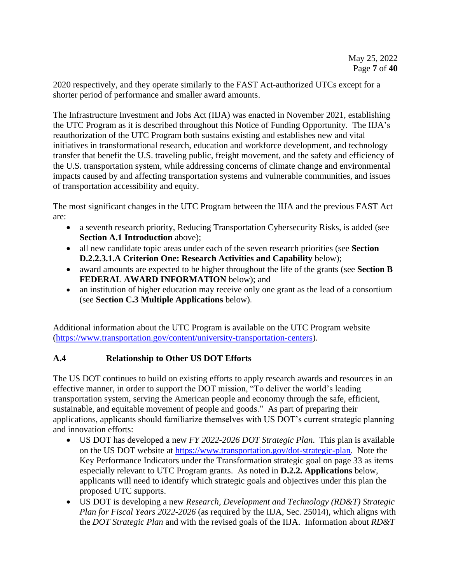2020 respectively, and they operate similarly to the FAST Act-authorized UTCs except for a shorter period of performance and smaller award amounts.

The Infrastructure Investment and Jobs Act (IIJA) was enacted in November 2021, establishing the UTC Program as it is described throughout this Notice of Funding Opportunity. The IIJA's reauthorization of the UTC Program both sustains existing and establishes new and vital initiatives in transformational research, education and workforce development, and technology transfer that benefit the U.S. traveling public, freight movement, and the safety and efficiency of the U.S. transportation system, while addressing concerns of climate change and environmental impacts caused by and affecting transportation systems and vulnerable communities, and issues of transportation accessibility and equity.

The most significant changes in the UTC Program between the IIJA and the previous FAST Act are:

- a seventh research priority, Reducing Transportation Cybersecurity Risks, is added (see **Section A.1 Introduction** above);
- all new candidate topic areas under each of the seven research priorities (see **Section D.2.2.3.1.A Criterion One: Research Activities and Capability** below);
- award amounts are expected to be higher throughout the life of the grants (see **Section B FEDERAL AWARD INFORMATION** below); and
- an institution of higher education may receive only one grant as the lead of a consortium (see **Section C.3 Multiple Applications** below).

Additional information about the UTC Program is available on the UTC Program website [\(https://www.transportation.gov/content/university-transportation-centers\)](https://www.transportation.gov/content/university-transportation-centers).

# <span id="page-6-0"></span>**A.4 Relationship to Other US DOT Efforts**

The US DOT continues to build on existing efforts to apply research awards and resources in an effective manner, in order to support the DOT mission, "To deliver the world's leading transportation system, serving the American people and economy through the safe, efficient, sustainable, and equitable movement of people and goods." As part of preparing their applications, applicants should familiarize themselves with US DOT's current strategic planning and innovation efforts:

- US DOT has developed a new *FY 2022-2026 DOT Strategic Plan*. This plan is available on the US DOT website at [https://www.transportation.gov/dot-strategic-plan.](https://www.transportation.gov/dot-strategic-plan) Note the Key Performance Indicators under the Transformation strategic goal on page 33 as items especially relevant to UTC Program grants. As noted in **D.2.2. Applications** below, applicants will need to identify which strategic goals and objectives under this plan the proposed UTC supports.
- US DOT is developing a new *Research, Development and Technology (RD&T) Strategic Plan for Fiscal Years 2022-2026* (as required by the IIJA, Sec. 25014)*,* which aligns with the *DOT Strategic Plan* and with the revised goals of the IIJA. Information about *RD&T*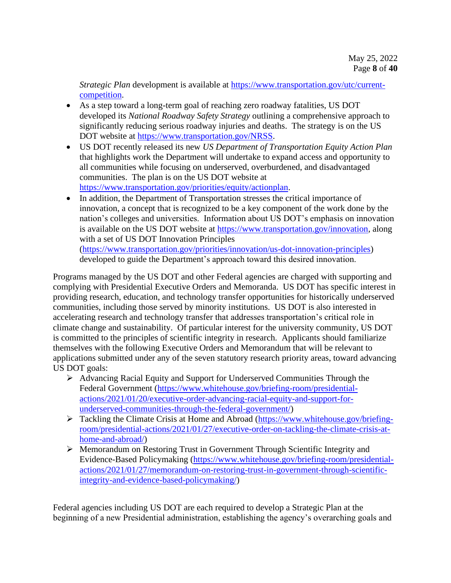*Strategic Plan* development is available at [https://www.transportation.gov/utc/current](https://www.transportation.gov/utc/current-competition)[competition.](https://www.transportation.gov/utc/current-competition)

- As a step toward a long-term goal of reaching zero roadway fatalities, US DOT developed its *National Roadway Safety Strategy* outlining a comprehensive approach to significantly reducing serious roadway injuries and deaths. The strategy is on the US DOT website at [https://www.transportation.gov/NRSS.](https://www.transportation.gov/NRSS)
- US DOT recently released its new *US Department of Transportation Equity Action Plan* that highlights work the Department will undertake to expand access and opportunity to all communities while focusing on underserved, overburdened, and disadvantaged communities. The plan is on the US DOT website at [https://www.transportation.gov/priorities/equity/actionplan.](https://www.transportation.gov/priorities/equity/actionplan)
- In addition, the Department of Transportation stresses the critical importance of innovation, a concept that is recognized to be a key component of the work done by the nation's colleges and universities. Information about US DOT's emphasis on innovation is available on the US DOT website at [https://www.transportation.gov/innovation,](https://www.transportation.gov/innovation) along with a set of US DOT Innovation Principles [\(https://www.transportation.gov/priorities/innovation/us-dot-innovation-principles\)](https://www.transportation.gov/priorities/innovation/us-dot-innovation-principles)

developed to guide the Department's approach toward this desired innovation.

Programs managed by the US DOT and other Federal agencies are charged with supporting and complying with Presidential Executive Orders and Memoranda. US DOT has specific interest in providing research, education, and technology transfer opportunities for historically underserved communities, including those served by minority institutions. US DOT is also interested in accelerating research and technology transfer that addresses transportation's critical role in climate change and sustainability. Of particular interest for the university community, US DOT is committed to the principles of scientific integrity in research. Applicants should familiarize themselves with the following Executive Orders and Memorandum that will be relevant to applications submitted under any of the seven statutory research priority areas, toward advancing US DOT goals:

- ➢ Advancing Racial Equity and Support for Underserved Communities Through the Federal Government [\(https://www.whitehouse.gov/briefing-room/presidential](https://www.whitehouse.gov/briefing-room/presidential-actions/2021/01/20/executive-order-advancing-racial-equity-and-support-for-underserved-communities-through-the-federal-government/)[actions/2021/01/20/executive-order-advancing-racial-equity-and-support-for](https://www.whitehouse.gov/briefing-room/presidential-actions/2021/01/20/executive-order-advancing-racial-equity-and-support-for-underserved-communities-through-the-federal-government/)[underserved-communities-through-the-federal-government/\)](https://www.whitehouse.gov/briefing-room/presidential-actions/2021/01/20/executive-order-advancing-racial-equity-and-support-for-underserved-communities-through-the-federal-government/)
- ➢ Tackling the Climate Crisis at Home and Abroad [\(https://www.whitehouse.gov/briefing](https://www.whitehouse.gov/briefing-room/presidential-actions/2021/01/27/executive-order-on-tackling-the-climate-crisis-at-home-and-abroad/)[room/presidential-actions/2021/01/27/executive-order-on-tackling-the-climate-crisis-at](https://www.whitehouse.gov/briefing-room/presidential-actions/2021/01/27/executive-order-on-tackling-the-climate-crisis-at-home-and-abroad/)[home-and-abroad/\)](https://www.whitehouse.gov/briefing-room/presidential-actions/2021/01/27/executive-order-on-tackling-the-climate-crisis-at-home-and-abroad/)
- ➢ Memorandum on Restoring Trust in Government Through Scientific Integrity and Evidence-Based Policymaking [\(https://www.whitehouse.gov/briefing-room/presidential](https://www.whitehouse.gov/briefing-room/presidential-actions/2021/01/27/memorandum-on-restoring-trust-in-government-through-scientific-integrity-and-evidence-based-policymaking/)[actions/2021/01/27/memorandum-on-restoring-trust-in-government-through-scientific](https://www.whitehouse.gov/briefing-room/presidential-actions/2021/01/27/memorandum-on-restoring-trust-in-government-through-scientific-integrity-and-evidence-based-policymaking/)[integrity-and-evidence-based-policymaking/\)](https://www.whitehouse.gov/briefing-room/presidential-actions/2021/01/27/memorandum-on-restoring-trust-in-government-through-scientific-integrity-and-evidence-based-policymaking/)

Federal agencies including US DOT are each required to develop a Strategic Plan at the beginning of a new Presidential administration, establishing the agency's overarching goals and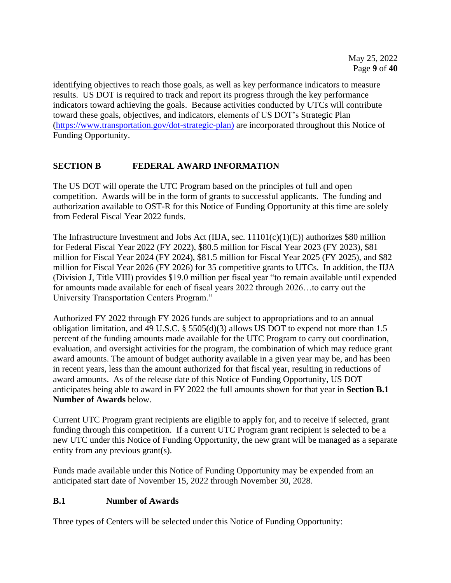identifying objectives to reach those goals, as well as key performance indicators to measure results. US DOT is required to track and report its progress through the key performance indicators toward achieving the goals. Because activities conducted by UTCs will contribute toward these goals, objectives, and indicators, elements of US DOT's Strategic Plan [\(https://www.transportation.gov/dot-strategic-plan\)](https://www.transportation.gov/dot-strategic-plan) are incorporated throughout this Notice of Funding Opportunity.

# <span id="page-8-0"></span>**SECTION B FEDERAL AWARD INFORMATION**

The US DOT will operate the UTC Program based on the principles of full and open competition. Awards will be in the form of grants to successful applicants. The funding and authorization available to OST-R for this Notice of Funding Opportunity at this time are solely from Federal Fiscal Year 2022 funds.

The Infrastructure Investment and Jobs Act (IIJA, sec. 11101(c)(1)(E)) authorizes \$80 million for Federal Fiscal Year 2022 (FY 2022), \$80.5 million for Fiscal Year 2023 (FY 2023), \$81 million for Fiscal Year 2024 (FY 2024), \$81.5 million for Fiscal Year 2025 (FY 2025), and \$82 million for Fiscal Year 2026 (FY 2026) for 35 competitive grants to UTCs. In addition, the IIJA (Division J, Title VIII) provides \$19.0 million per fiscal year "to remain available until expended for amounts made available for each of fiscal years 2022 through 2026…to carry out the University Transportation Centers Program."

Authorized FY 2022 through FY 2026 funds are subject to appropriations and to an annual obligation limitation, and 49 U.S.C. § 5505(d)(3) allows US DOT to expend not more than 1.5 percent of the funding amounts made available for the UTC Program to carry out coordination, evaluation, and oversight activities for the program, the combination of which may reduce grant award amounts. The amount of budget authority available in a given year may be, and has been in recent years, less than the amount authorized for that fiscal year, resulting in reductions of award amounts. As of the release date of this Notice of Funding Opportunity, US DOT anticipates being able to award in FY 2022 the full amounts shown for that year in **Section B.1 Number of Awards** below.

Current UTC Program grant recipients are eligible to apply for, and to receive if selected, grant funding through this competition. If a current UTC Program grant recipient is selected to be a new UTC under this Notice of Funding Opportunity, the new grant will be managed as a separate entity from any previous grant(s).

Funds made available under this Notice of Funding Opportunity may be expended from an anticipated start date of November 15, 2022 through November 30, 2028.

## <span id="page-8-1"></span>**B.1 Number of Awards**

Three types of Centers will be selected under this Notice of Funding Opportunity: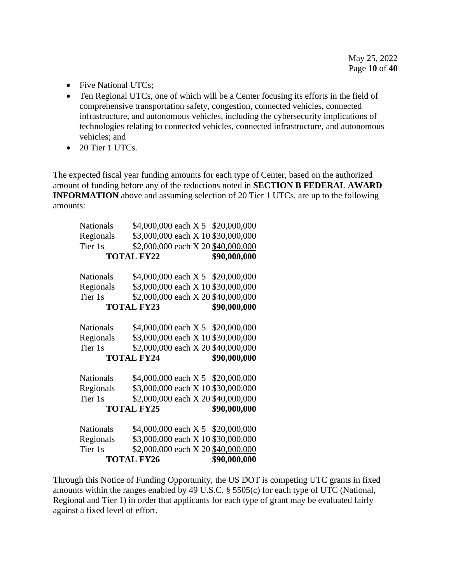- Five National UTCs;
- Ten Regional UTCs, one of which will be a Center focusing its efforts in the field of comprehensive transportation safety, congestion, connected vehicles, connected infrastructure, and autonomous vehicles, including the cybersecurity implications of technologies relating to connected vehicles, connected infrastructure, and autonomous vehicles; and
- 20 Tier 1 UTCs.

The expected fiscal year funding amounts for each type of Center, based on the authorized amount of funding before any of the reductions noted in **SECTION B FEDERAL AWARD INFORMATION** above and assuming selection of 20 Tier 1 UTCs, are up to the following amounts:

| <b>Nationals</b>  | \$4,000,000 each X 5 \$20,000,000  |              |
|-------------------|------------------------------------|--------------|
| Regionals         | \$3,000,000 each X 10 \$30,000,000 |              |
| Tier 1s           | \$2,000,000 each X 20 \$40,000,000 |              |
| <b>TOTAL FY22</b> | \$90,000,000                       |              |
|                   |                                    |              |
| <b>Nationals</b>  | \$4,000,000 each X 5 \$20,000,000  |              |
| Regionals         | \$3,000,000 each X 10 \$30,000,000 |              |
| Tier 1s           | \$2,000,000 each X 20 \$40,000,000 |              |
| <b>TOTAL FY23</b> |                                    | \$90,000,000 |
|                   |                                    |              |
| <b>Nationals</b>  | \$4,000,000 each X 5 \$20,000,000  |              |
| Regionals         | \$3,000,000 each X 10 \$30,000,000 |              |
| Tier 1s           | \$2,000,000 each X 20 \$40,000,000 |              |
| <b>TOTAL FY24</b> |                                    | \$90,000,000 |
|                   |                                    |              |
| <b>Nationals</b>  | \$4,000,000 each X 5 \$20,000,000  |              |
| Regionals         | \$3,000,000 each X 10 \$30,000,000 |              |
| Tier 1s           | \$2,000,000 each X 20 \$40,000,000 |              |
| <b>TOTAL FY25</b> | \$90,000,000                       |              |
|                   |                                    |              |
| Nationals         | \$4,000,000 each X 5 \$20,000,000  |              |
| Regionals         | \$3,000,000 each X 10 \$30,000,000 |              |
| Tier 1s           | \$2,000,000 each X 20 \$40,000,000 |              |
| <b>TOTAL FY26</b> | \$90,000,000                       |              |

Through this Notice of Funding Opportunity, the US DOT is competing UTC grants in fixed amounts within the ranges enabled by 49 U.S.C. § 5505(c) for each type of UTC (National, Regional and Tier 1) in order that applicants for each type of grant may be evaluated fairly against a fixed level of effort.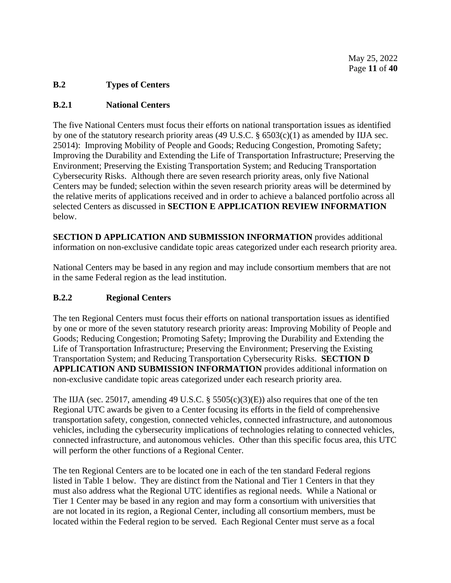## <span id="page-10-0"></span>**B.2 Types of Centers**

## <span id="page-10-1"></span>**B.2.1 National Centers**

The five National Centers must focus their efforts on national transportation issues as identified by one of the statutory research priority areas (49 U.S.C. § 6503(c)(1) as amended by IIJA sec. 25014): Improving Mobility of People and Goods; Reducing Congestion, Promoting Safety; Improving the Durability and Extending the Life of Transportation Infrastructure; Preserving the Environment; Preserving the Existing Transportation System; and Reducing Transportation Cybersecurity Risks. Although there are seven research priority areas, only five National Centers may be funded; selection within the seven research priority areas will be determined by the relative merits of applications received and in order to achieve a balanced portfolio across all selected Centers as discussed in **SECTION E APPLICATION REVIEW INFORMATION** below.

**SECTION D APPLICATION AND SUBMISSION INFORMATION** provides additional information on non-exclusive candidate topic areas categorized under each research priority area.

National Centers may be based in any region and may include consortium members that are not in the same Federal region as the lead institution.

## <span id="page-10-2"></span>**B.2.2 Regional Centers**

The ten Regional Centers must focus their efforts on national transportation issues as identified by one or more of the seven statutory research priority areas: Improving Mobility of People and Goods; Reducing Congestion; Promoting Safety; Improving the Durability and Extending the Life of Transportation Infrastructure; Preserving the Environment; Preserving the Existing Transportation System; and Reducing Transportation Cybersecurity Risks. **SECTION D APPLICATION AND SUBMISSION INFORMATION** provides additional information on non-exclusive candidate topic areas categorized under each research priority area.

The IIJA (sec. 25017, amending 49 U.S.C. § 5505(c)(3)(E)) also requires that one of the ten Regional UTC awards be given to a Center focusing its efforts in the field of comprehensive transportation safety, congestion, connected vehicles, connected infrastructure, and autonomous vehicles, including the cybersecurity implications of technologies relating to connected vehicles, connected infrastructure, and autonomous vehicles. Other than this specific focus area, this UTC will perform the other functions of a Regional Center.

The ten Regional Centers are to be located one in each of the ten standard Federal regions listed in Table 1 below. They are distinct from the National and Tier 1 Centers in that they must also address what the Regional UTC identifies as regional needs. While a National or Tier 1 Center may be based in any region and may form a consortium with universities that are not located in its region, a Regional Center, including all consortium members, must be located within the Federal region to be served. Each Regional Center must serve as a focal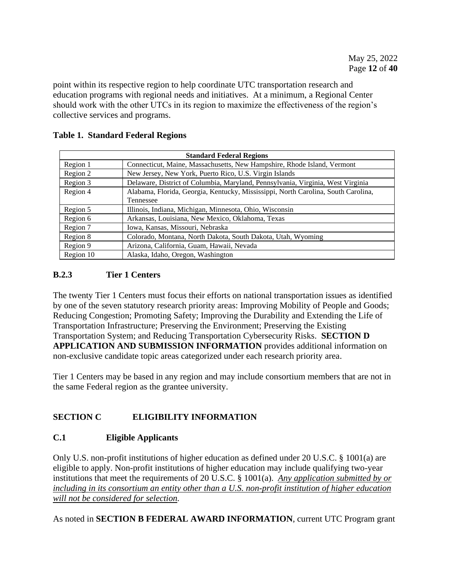point within its respective region to help coordinate UTC transportation research and education programs with regional needs and initiatives. At a minimum, a Regional Center should work with the other UTCs in its region to maximize the effectiveness of the region's collective services and programs.

| <b>Standard Federal Regions</b> |                                                                                   |  |  |  |
|---------------------------------|-----------------------------------------------------------------------------------|--|--|--|
| Region 1                        | Connecticut, Maine, Massachusetts, New Hampshire, Rhode Island, Vermont           |  |  |  |
| Region 2                        | New Jersey, New York, Puerto Rico, U.S. Virgin Islands                            |  |  |  |
| Region 3                        | Delaware, District of Columbia, Maryland, Pennsylvania, Virginia, West Virginia   |  |  |  |
| Region 4                        | Alabama, Florida, Georgia, Kentucky, Mississippi, North Carolina, South Carolina, |  |  |  |
|                                 | Tennessee                                                                         |  |  |  |
| Region 5                        | Illinois, Indiana, Michigan, Minnesota, Ohio, Wisconsin                           |  |  |  |
| Region 6                        | Arkansas, Louisiana, New Mexico, Oklahoma, Texas                                  |  |  |  |
| Region 7                        | Iowa, Kansas, Missouri, Nebraska                                                  |  |  |  |
| Region 8                        | Colorado, Montana, North Dakota, South Dakota, Utah, Wyoming                      |  |  |  |
| Region 9                        | Arizona, California, Guam, Hawaii, Nevada                                         |  |  |  |
| Region 10                       | Alaska, Idaho, Oregon, Washington                                                 |  |  |  |

## **Table 1. Standard Federal Regions**

# <span id="page-11-0"></span>**B.2.3 Tier 1 Centers**

The twenty Tier 1 Centers must focus their efforts on national transportation issues as identified by one of the seven statutory research priority areas: Improving Mobility of People and Goods; Reducing Congestion; Promoting Safety; Improving the Durability and Extending the Life of Transportation Infrastructure; Preserving the Environment; Preserving the Existing Transportation System; and Reducing Transportation Cybersecurity Risks. **SECTION D APPLICATION AND SUBMISSION INFORMATION** provides additional information on non-exclusive candidate topic areas categorized under each research priority area.

Tier 1 Centers may be based in any region and may include consortium members that are not in the same Federal region as the grantee university.

# <span id="page-11-1"></span>**SECTION C ELIGIBILITY INFORMATION**

# <span id="page-11-2"></span>**C.1 Eligible Applicants**

Only U.S. non-profit institutions of higher education as defined under 20 U.S.C. § 1001(a) are eligible to apply. Non-profit institutions of higher education may include qualifying two-year institutions that meet the requirements of 20 U.S.C. § 1001(a). *Any application submitted by or including in its consortium an entity other than a U.S. non-profit institution of higher education will not be considered for selection.*

As noted in **SECTION B FEDERAL AWARD INFORMATION**, current UTC Program grant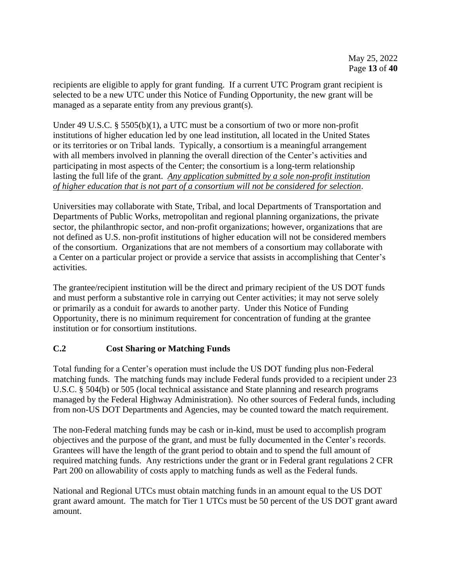recipients are eligible to apply for grant funding. If a current UTC Program grant recipient is selected to be a new UTC under this Notice of Funding Opportunity, the new grant will be managed as a separate entity from any previous grant(s).

Under 49 U.S.C. § 5505(b)(1), a UTC must be a consortium of two or more non-profit institutions of higher education led by one lead institution, all located in the United States or its territories or on Tribal lands. Typically, a consortium is a meaningful arrangement with all members involved in planning the overall direction of the Center's activities and participating in most aspects of the Center; the consortium is a long-term relationship lasting the full life of the grant. *Any application submitted by a sole non-profit institution of higher education that is not part of a consortium will not be considered for selection*.

Universities may collaborate with State, Tribal, and local Departments of Transportation and Departments of Public Works, metropolitan and regional planning organizations, the private sector, the philanthropic sector, and non-profit organizations; however, organizations that are not defined as U.S. non-profit institutions of higher education will not be considered members of the consortium. Organizations that are not members of a consortium may collaborate with a Center on a particular project or provide a service that assists in accomplishing that Center's activities.

The grantee/recipient institution will be the direct and primary recipient of the US DOT funds and must perform a substantive role in carrying out Center activities; it may not serve solely or primarily as a conduit for awards to another party. Under this Notice of Funding Opportunity, there is no minimum requirement for concentration of funding at the grantee institution or for consortium institutions.

# <span id="page-12-0"></span>**C.2 Cost Sharing or Matching Funds**

Total funding for a Center's operation must include the US DOT funding plus non-Federal matching funds. The matching funds may include Federal funds provided to a recipient under 23 U.S.C. § 504(b) or 505 (local technical assistance and State planning and research programs managed by the Federal Highway Administration). No other sources of Federal funds, including from non-US DOT Departments and Agencies, may be counted toward the match requirement.

The non-Federal matching funds may be cash or in-kind, must be used to accomplish program objectives and the purpose of the grant, and must be fully documented in the Center's records. Grantees will have the length of the grant period to obtain and to spend the full amount of required matching funds. Any restrictions under the grant or in Federal grant regulations 2 CFR Part 200 on allowability of costs apply to matching funds as well as the Federal funds.

National and Regional UTCs must obtain matching funds in an amount equal to the US DOT grant award amount. The match for Tier 1 UTCs must be 50 percent of the US DOT grant award amount.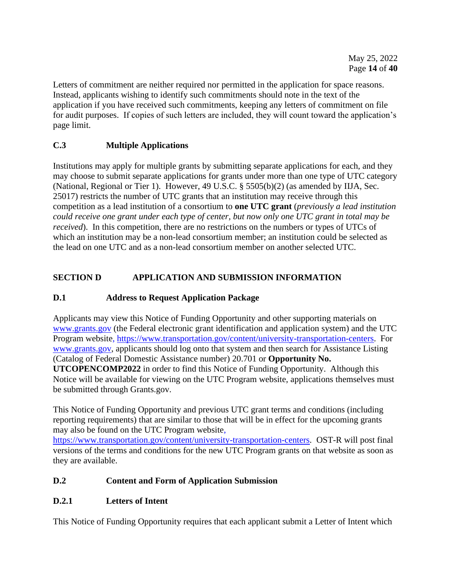Letters of commitment are neither required nor permitted in the application for space reasons. Instead, applicants wishing to identify such commitments should note in the text of the application if you have received such commitments, keeping any letters of commitment on file for audit purposes. If copies of such letters are included, they will count toward the application's page limit.

# <span id="page-13-0"></span>**C.3 Multiple Applications**

Institutions may apply for multiple grants by submitting separate applications for each, and they may choose to submit separate applications for grants under more than one type of UTC category (National, Regional or Tier 1). However, 49 U.S.C. § 5505(b)(2) (as amended by IIJA, Sec. 25017) restricts the number of UTC grants that an institution may receive through this competition as a lead institution of a consortium to **one UTC grant** (*previously a lead institution could receive one grant under each type of center, but now only one UTC grant in total may be received*). In this competition, there are no restrictions on the numbers or types of UTCs of which an institution may be a non-lead consortium member; an institution could be selected as the lead on one UTC and as a non-lead consortium member on another selected UTC.

# <span id="page-13-1"></span>**SECTION D APPLICATION AND SUBMISSION INFORMATION**

# <span id="page-13-2"></span>**D.1 Address to Request Application Package**

Applicants may view this Notice of Funding Opportunity and other supporting materials on [www.grants.gov](http://www.grants.gov/) (the Federal electronic grant identification and application system) and the UTC Program website, [https://www.transportation.gov/content/university-transportation-centers.](https://www.transportation.gov/content/university-transportation-centers) For [www.grants.gov,](http://www.grants.gov/) applicants should log onto that system and then search for Assistance Listing (Catalog of Federal Domestic Assistance number) 20.701 or **Opportunity No. UTCOPENCOMP2022** in order to find this Notice of Funding Opportunity. Although this

Notice will be available for viewing on the UTC Program website, applications themselves must be submitted through Grants.gov.

This Notice of Funding Opportunity and previous UTC grant terms and conditions (including reporting requirements) that are similar to those that will be in effect for the upcoming grants may also be found on the UTC Program website,

[https://www.transportation.gov/content/university-transportation-centers.](https://www.transportation.gov/content/university-transportation-centers) OST-R will post final versions of the terms and conditions for the new UTC Program grants on that website as soon as they are available.

# <span id="page-13-3"></span>**D.2 Content and Form of Application Submission**

# <span id="page-13-4"></span>**D.2.1 Letters of Intent**

This Notice of Funding Opportunity requires that each applicant submit a Letter of Intent which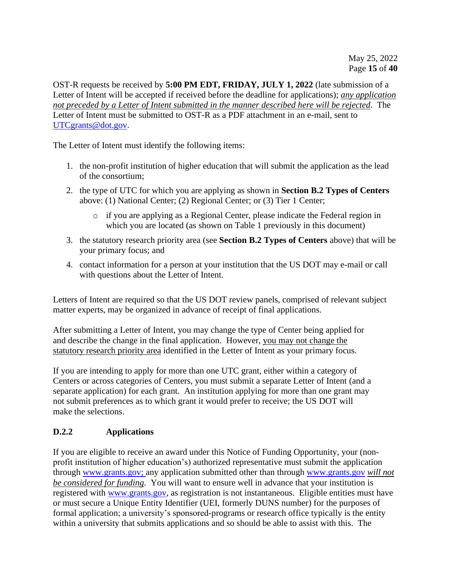OST-R requests be received by **5:00 PM EDT, FRIDAY, JULY 1, 2022** (late submission of a Letter of Intent will be accepted if received before the deadline for applications); *any application not preceded by a Letter of Intent submitted in the manner described here will be rejected*. The Letter of Intent must be submitted to OST-R as a PDF attachment in an e-mail, sent to [UTCgrants@dot.gov.](mailto:UTCgrants@dot.gov)

The Letter of Intent must identify the following items:

- 1. the non-profit institution of higher education that will submit the application as the lead of the consortium;
- 2. the type of UTC for which you are applying as shown in **Section B.2 Types of Centers** above: (1) National Center; (2) Regional Center; or (3) Tier 1 Center;
	- o if you are applying as a Regional Center, please indicate the Federal region in which you are located (as shown on Table 1 previously in this document)
- 3. the statutory research priority area (see **Section B.2 Types of Centers** above) that will be your primary focus; and
- 4. contact information for a person at your institution that the US DOT may e-mail or call with questions about the Letter of Intent.

Letters of Intent are required so that the US DOT review panels, comprised of relevant subject matter experts, may be organized in advance of receipt of final applications.

After submitting a Letter of Intent, you may change the type of Center being applied for and describe the change in the final application. However, you may not change the statutory research priority area identified in the Letter of Intent as your primary focus.

If you are intending to apply for more than one UTC grant, either within a category of Centers or across categories of Centers, you must submit a separate Letter of Intent (and a separate application) for each grant. An institution applying for more than one grant may not submit preferences as to which grant it would prefer to receive; the US DOT will make the selections.

# <span id="page-14-0"></span>**D.2.2 Applications**

If you are eligible to receive an award under this Notice of Funding Opportunity, your (nonprofit institution of higher education's) authorized representative must submit the application through [www.grants.gov;](http://www.grants.gov/) any application submitted other than through [www.grants.gov](http://www.grants.gov/) *will not be considered for funding*. You will want to ensure well in advance that your institution is registered with [www.grants.gov,](http://www.grants.gov/) as registration is not instantaneous. Eligible entities must have or must secure a Unique Entity Identifier (UEI, formerly DUNS number) for the purposes of formal application; a university's sponsored-programs or research office typically is the entity within a university that submits applications and so should be able to assist with this. The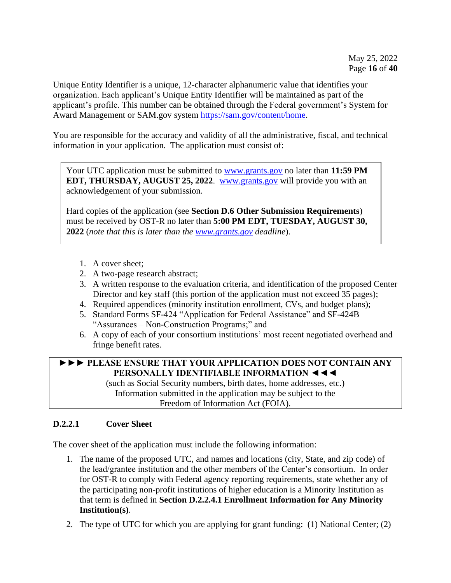Unique Entity Identifier is a unique, 12-character alphanumeric value that identifies your organization. Each applicant's Unique Entity Identifier will be maintained as part of the applicant's profile. This number can be obtained through the Federal government's System for Award Management or SAM.gov system [https://sam.gov/content/home.](https://sam.gov/content/home)

You are responsible for the accuracy and validity of all the administrative, fiscal, and technical information in your application. The application must consist of:

Your UTC application must be submitted to [www.grants.gov](http://www.grants.gov/) no later than **11:59 PM EDT, THURSDAY, AUGUST 25, 2022.** [www.grants.gov](http://www.grants.gov/) will provide you with an acknowledgement of your submission.

Hard copies of the application (see **Section D.6 Other Submission Requirements**) must be received by OST-R no later than **5:00 PM EDT, TUESDAY, AUGUST 30, 2022** (*note that this is later than the [www.grants.gov](http://www.grants.gov/) deadline*).

- 1. A cover sheet;
- 2. A two-page research abstract;
- 3. A written response to the evaluation criteria, and identification of the proposed Center Director and key staff (this portion of the application must not exceed 35 pages);
- 4. Required appendices (minority institution enrollment, CVs, and budget plans);
- 5. Standard Forms SF-424 "Application for Federal Assistance" and SF-424B "Assurances – Non-Construction Programs;" and
- 6. A copy of each of your consortium institutions' most recent negotiated overhead and fringe benefit rates.

# **►►► PLEASE ENSURE THAT YOUR APPLICATION DOES NOT CONTAIN ANY PERSONALLY IDENTIFIABLE INFORMATION ◄◄◄**

(such as Social Security numbers, birth dates, home addresses, etc.) Information submitted in the application may be subject to the Freedom of Information Act (FOIA).

# <span id="page-15-0"></span>**D.2.2.1 Cover Sheet**

The cover sheet of the application must include the following information:

- 1. The name of the proposed UTC, and names and locations (city, State, and zip code) of the lead/grantee institution and the other members of the Center's consortium. In order for OST-R to comply with Federal agency reporting requirements, state whether any of the participating non-profit institutions of higher education is a Minority Institution as that term is defined in **Section D.2.2.4.1 Enrollment Information for Any Minority Institution(s)**.
- 2. The type of UTC for which you are applying for grant funding: (1) National Center; (2)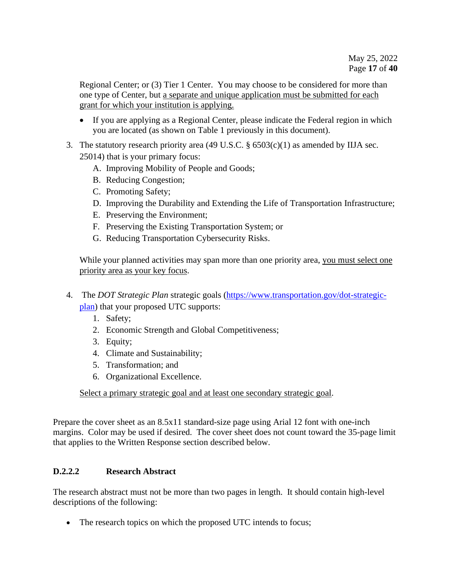Regional Center; or (3) Tier 1 Center. You may choose to be considered for more than one type of Center, but a separate and unique application must be submitted for each grant for which your institution is applying.

- If you are applying as a Regional Center, please indicate the Federal region in which you are located (as shown on Table 1 previously in this document).
- 3. The statutory research priority area (49 U.S.C.  $\S 6503(c)(1)$  as amended by IIJA sec. 25014) that is your primary focus:
	- A. Improving Mobility of People and Goods;
	- B. Reducing Congestion;
	- C. Promoting Safety;
	- D. Improving the Durability and Extending the Life of Transportation Infrastructure;
	- E. Preserving the Environment;
	- F. Preserving the Existing Transportation System; or
	- G. Reducing Transportation Cybersecurity Risks.

While your planned activities may span more than one priority area, you must select one priority area as your key focus.

- 4. The *DOT Strategic Plan* strategic goals [\(https://www.transportation.gov/dot-strategic](https://www.transportation.gov/dot-strategic-plan)[plan\)](https://www.transportation.gov/dot-strategic-plan) that your proposed UTC supports:
	- 1. Safety;
	- 2. Economic Strength and Global Competitiveness;
	- 3. Equity;
	- 4. Climate and Sustainability;
	- 5. Transformation; and
	- 6. Organizational Excellence.

Select a primary strategic goal and at least one secondary strategic goal.

Prepare the cover sheet as an 8.5x11 standard-size page using Arial 12 font with one-inch margins. Color may be used if desired. The cover sheet does not count toward the 35-page limit that applies to the Written Response section described below.

## <span id="page-16-0"></span>**D.2.2.2 Research Abstract**

The research abstract must not be more than two pages in length. It should contain high-level descriptions of the following:

• The research topics on which the proposed UTC intends to focus;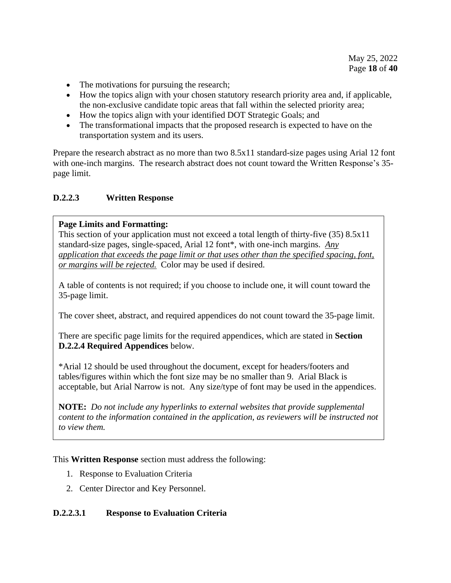- The motivations for pursuing the research;
- How the topics align with your chosen statutory research priority area and, if applicable, the non-exclusive candidate topic areas that fall within the selected priority area;
- How the topics align with your identified DOT Strategic Goals; and
- The transformational impacts that the proposed research is expected to have on the transportation system and its users.

Prepare the research abstract as no more than two 8.5x11 standard-size pages using Arial 12 font with one-inch margins. The research abstract does not count toward the Written Response's 35page limit.

## <span id="page-17-0"></span>**D.2.2.3 Written Response**

## **Page Limits and Formatting:**

This section of your application must not exceed a total length of thirty-five (35) 8.5x11 standard-size pages, single-spaced, Arial 12 font\*, with one-inch margins. *Any application that exceeds the page limit or that uses other than the specified spacing, font, or margins will be rejected.* Color may be used if desired.

A table of contents is not required; if you choose to include one, it will count toward the 35-page limit.

The cover sheet, abstract, and required appendices do not count toward the 35-page limit.

There are specific page limits for the required appendices, which are stated in **Section D.2.2.4 Required Appendices** below.

\*Arial 12 should be used throughout the document, except for headers/footers and tables/figures within which the font size may be no smaller than 9. Arial Black is acceptable, but Arial Narrow is not. Any size/type of font may be used in the appendices.

**NOTE:** *Do not include any hyperlinks to external websites that provide supplemental content to the information contained in the application, as reviewers will be instructed not to view them.*

This **Written Response** section must address the following:

- 1. Response to Evaluation Criteria
- 2. Center Director and Key Personnel.

## <span id="page-17-1"></span>**D.2.2.3.1 Response to Evaluation Criteria**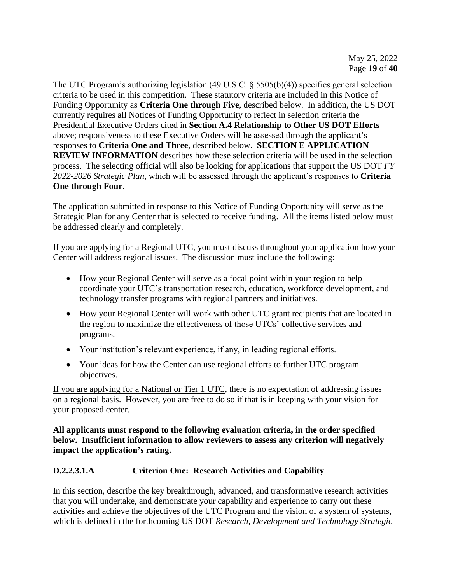The UTC Program's authorizing legislation (49 U.S.C. § 5505(b)(4)) specifies general selection criteria to be used in this competition. These statutory criteria are included in this Notice of Funding Opportunity as **Criteria One through Five**, described below. In addition, the US DOT currently requires all Notices of Funding Opportunity to reflect in selection criteria the Presidential Executive Orders cited in **Section A.4 Relationship to Other US DOT Efforts** above; responsiveness to these Executive Orders will be assessed through the applicant's responses to **Criteria One and Three**, described below. **SECTION E APPLICATION REVIEW INFORMATION** describes how these selection criteria will be used in the selection process. The selecting official will also be looking for applications that support the US DOT *FY 2022-2026 Strategic Plan*, which will be assessed through the applicant's responses to **Criteria One through Four**.

The application submitted in response to this Notice of Funding Opportunity will serve as the Strategic Plan for any Center that is selected to receive funding. All the items listed below must be addressed clearly and completely.

If you are applying for a Regional UTC, you must discuss throughout your application how your Center will address regional issues. The discussion must include the following:

- How your Regional Center will serve as a focal point within your region to help coordinate your UTC's transportation research, education, workforce development, and technology transfer programs with regional partners and initiatives.
- How your Regional Center will work with other UTC grant recipients that are located in the region to maximize the effectiveness of those UTCs' collective services and programs.
- Your institution's relevant experience, if any, in leading regional efforts.
- Your ideas for how the Center can use regional efforts to further UTC program objectives.

If you are applying for a National or Tier 1 UTC, there is no expectation of addressing issues on a regional basis. However, you are free to do so if that is in keeping with your vision for your proposed center.

**All applicants must respond to the following evaluation criteria, in the order specified below. Insufficient information to allow reviewers to assess any criterion will negatively impact the application's rating.**

## **D.2.2.3.1.A Criterion One: Research Activities and Capability**

In this section, describe the key breakthrough, advanced, and transformative research activities that you will undertake, and demonstrate your capability and experience to carry out these activities and achieve the objectives of the UTC Program and the vision of a system of systems, which is defined in the forthcoming US DOT *Research, Development and Technology Strategic*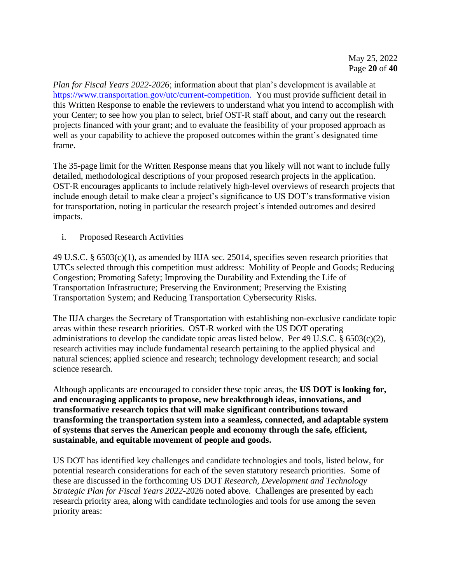*Plan for Fiscal Years 2022-2026*; information about that plan's development is available at [https://www.transportation.gov/utc/current-competition.](https://www.transportation.gov/utc/current-competition) You must provide sufficient detail in this Written Response to enable the reviewers to understand what you intend to accomplish with your Center; to see how you plan to select, brief OST-R staff about, and carry out the research projects financed with your grant; and to evaluate the feasibility of your proposed approach as well as your capability to achieve the proposed outcomes within the grant's designated time frame.

The 35-page limit for the Written Response means that you likely will not want to include fully detailed, methodological descriptions of your proposed research projects in the application. OST-R encourages applicants to include relatively high-level overviews of research projects that include enough detail to make clear a project's significance to US DOT's transformative vision for transportation, noting in particular the research project's intended outcomes and desired impacts.

i. Proposed Research Activities

49 U.S.C. § 6503(c)(1), as amended by IIJA sec. 25014, specifies seven research priorities that UTCs selected through this competition must address: Mobility of People and Goods; Reducing Congestion; Promoting Safety; Improving the Durability and Extending the Life of Transportation Infrastructure; Preserving the Environment; Preserving the Existing Transportation System; and Reducing Transportation Cybersecurity Risks.

The IIJA charges the Secretary of Transportation with establishing non-exclusive candidate topic areas within these research priorities. OST-R worked with the US DOT operating administrations to develop the candidate topic areas listed below. Per 49 U.S.C. § 6503(c)(2), research activities may include fundamental research pertaining to the applied physical and natural sciences; applied science and research; technology development research; and social science research.

Although applicants are encouraged to consider these topic areas, the **US DOT is looking for, and encouraging applicants to propose, new breakthrough ideas, innovations, and transformative research topics that will make significant contributions toward transforming the transportation system into a seamless, connected, and adaptable system of systems that serves the American people and economy through the safe, efficient, sustainable, and equitable movement of people and goods.**

US DOT has identified key challenges and candidate technologies and tools, listed below, for potential research considerations for each of the seven statutory research priorities. Some of these are discussed in the forthcoming US DOT *Research, Development and Technology Strategic Plan for Fiscal Years 2022-*2026 noted above. Challenges are presented by each research priority area, along with candidate technologies and tools for use among the seven priority areas: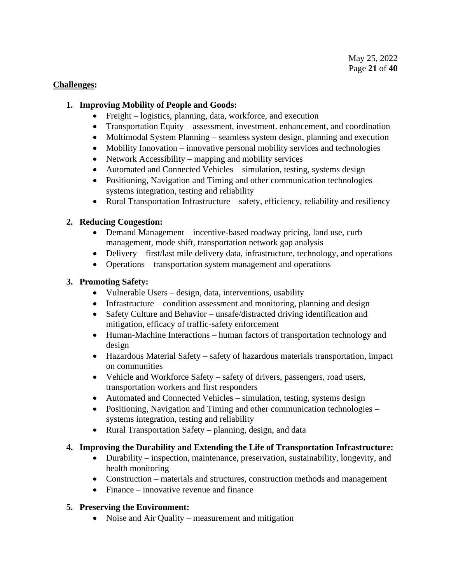#### **Challenges:**

## **1. Improving Mobility of People and Goods:**

- Freight logistics, planning, data, workforce, and execution
- Transportation Equity assessment, investment, enhancement, and coordination
- Multimodal System Planning seamless system design, planning and execution
- Mobility Innovation innovative personal mobility services and technologies
- Network Accessibility mapping and mobility services
- Automated and Connected Vehicles simulation, testing, systems design
- Positioning, Navigation and Timing and other communication technologies systems integration, testing and reliability
- Rural Transportation Infrastructure safety, efficiency, reliability and resiliency

## **2. Reducing Congestion:**

- Demand Management incentive-based roadway pricing, land use, curb management, mode shift, transportation network gap analysis
- Delivery first/last mile delivery data, infrastructure, technology, and operations
- Operations transportation system management and operations

## **3. Promoting Safety:**

- Vulnerable Users design, data, interventions, usability
- Infrastructure condition assessment and monitoring, planning and design
- Safety Culture and Behavior unsafe/distracted driving identification and mitigation, efficacy of traffic-safety enforcement
- Human-Machine Interactions human factors of transportation technology and design
- Hazardous Material Safety safety of hazardous materials transportation, impact on communities
- Vehicle and Workforce Safety safety of drivers, passengers, road users, transportation workers and first responders
- Automated and Connected Vehicles simulation, testing, systems design
- Positioning, Navigation and Timing and other communication technologies systems integration, testing and reliability
- Rural Transportation Safety planning, design, and data

# **4. Improving the Durability and Extending the Life of Transportation Infrastructure:**

- Durability inspection, maintenance, preservation, sustainability, longevity, and health monitoring
- Construction materials and structures, construction methods and management
- Finance innovative revenue and finance

## **5. Preserving the Environment:**

• Noise and Air Quality – measurement and mitigation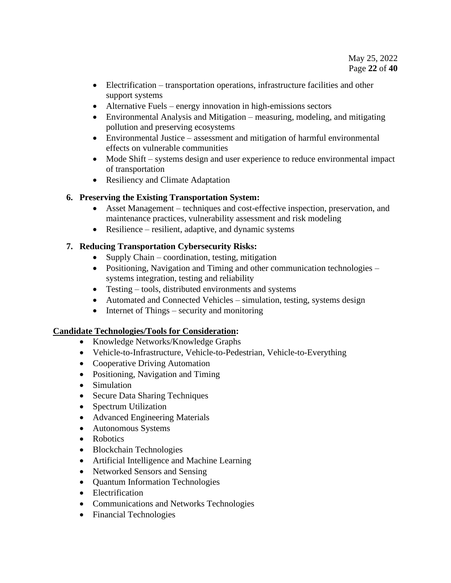- Electrification transportation operations, infrastructure facilities and other support systems
- Alternative Fuels energy innovation in high-emissions sectors
- Environmental Analysis and Mitigation measuring, modeling, and mitigating pollution and preserving ecosystems
- Environmental Justice assessment and mitigation of harmful environmental effects on vulnerable communities
- Mode Shift systems design and user experience to reduce environmental impact of transportation
- Resiliency and Climate Adaptation

# **6. Preserving the Existing Transportation System:**

- Asset Management techniques and cost-effective inspection, preservation, and maintenance practices, vulnerability assessment and risk modeling
- Resilience resilient, adaptive, and dynamic systems

# **7. Reducing Transportation Cybersecurity Risks:**

- Supply Chain coordination, testing, mitigation
- Positioning, Navigation and Timing and other communication technologies systems integration, testing and reliability
- Testing tools, distributed environments and systems
- Automated and Connected Vehicles simulation, testing, systems design
- Internet of Things security and monitoring

## **Candidate Technologies/Tools for Consideration:**

- Knowledge Networks/Knowledge Graphs
- Vehicle-to-Infrastructure, Vehicle-to-Pedestrian, Vehicle-to-Everything
- Cooperative Driving Automation
- Positioning, Navigation and Timing
- Simulation
- Secure Data Sharing Techniques
- Spectrum Utilization
- Advanced Engineering Materials
- Autonomous Systems
- Robotics
- Blockchain Technologies
- Artificial Intelligence and Machine Learning
- Networked Sensors and Sensing
- Quantum Information Technologies
- Electrification
- Communications and Networks Technologies
- Financial Technologies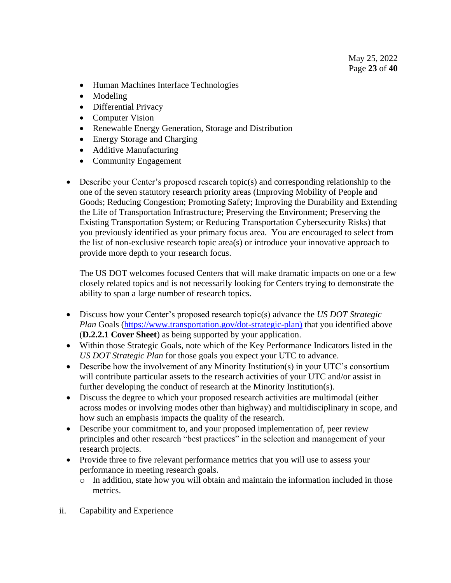- Human Machines Interface Technologies
- Modeling
- Differential Privacy
- Computer Vision
- Renewable Energy Generation, Storage and Distribution
- Energy Storage and Charging
- Additive Manufacturing
- Community Engagement
- Describe your Center's proposed research topic(s) and corresponding relationship to the one of the seven statutory research priority areas (Improving Mobility of People and Goods; Reducing Congestion; Promoting Safety; Improving the Durability and Extending the Life of Transportation Infrastructure; Preserving the Environment; Preserving the Existing Transportation System; or Reducing Transportation Cybersecurity Risks) that you previously identified as your primary focus area. You are encouraged to select from the list of non-exclusive research topic area(s) or introduce your innovative approach to provide more depth to your research focus.

The US DOT welcomes focused Centers that will make dramatic impacts on one or a few closely related topics and is not necessarily looking for Centers trying to demonstrate the ability to span a large number of research topics.

- Discuss how your Center's proposed research topic(s) advance the *US DOT Strategic Plan* Goals [\(https://www.transportation.gov/dot-strategic-plan\)](https://www.transportation.gov/dot-strategic-plan) that you identified above (**D.2.2.1 Cover Sheet**) as being supported by your application.
- Within those Strategic Goals, note which of the Key Performance Indicators listed in the *US DOT Strategic Plan* for those goals you expect your UTC to advance.
- Describe how the involvement of any Minority Institution(s) in your UTC's consortium will contribute particular assets to the research activities of your UTC and/or assist in further developing the conduct of research at the Minority Institution(s).
- Discuss the degree to which your proposed research activities are multimodal (either across modes or involving modes other than highway) and multidisciplinary in scope, and how such an emphasis impacts the quality of the research.
- Describe your commitment to, and your proposed implementation of, peer review principles and other research "best practices" in the selection and management of your research projects.
- Provide three to five relevant performance metrics that you will use to assess your performance in meeting research goals.
	- $\circ$  In addition, state how you will obtain and maintain the information included in those metrics.
- ii. Capability and Experience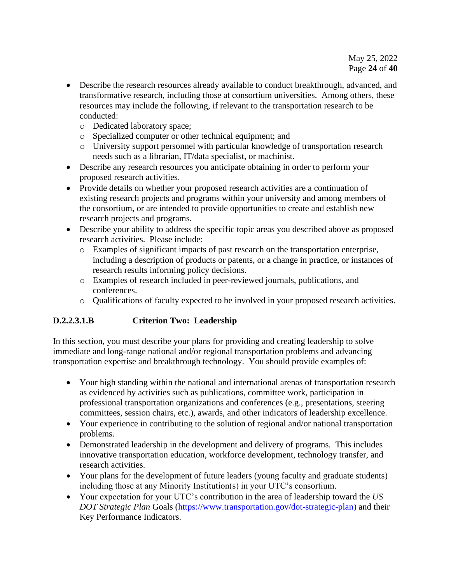- Describe the research resources already available to conduct breakthrough, advanced, and transformative research, including those at consortium universities. Among others, these resources may include the following, if relevant to the transportation research to be conducted:
	- o Dedicated laboratory space;
	- o Specialized computer or other technical equipment; and
	- o University support personnel with particular knowledge of transportation research needs such as a librarian, IT/data specialist, or machinist.
- Describe any research resources you anticipate obtaining in order to perform your proposed research activities.
- Provide details on whether your proposed research activities are a continuation of existing research projects and programs within your university and among members of the consortium, or are intended to provide opportunities to create and establish new research projects and programs.
- Describe your ability to address the specific topic areas you described above as proposed research activities. Please include:
	- o Examples of significant impacts of past research on the transportation enterprise, including a description of products or patents, or a change in practice, or instances of research results informing policy decisions.
	- o Examples of research included in peer-reviewed journals, publications, and conferences.
	- o Qualifications of faculty expected to be involved in your proposed research activities.

# **D.2.2.3.1.B Criterion Two: Leadership**

In this section, you must describe your plans for providing and creating leadership to solve immediate and long-range national and/or regional transportation problems and advancing transportation expertise and breakthrough technology. You should provide examples of:

- Your high standing within the national and international arenas of transportation research as evidenced by activities such as publications, committee work, participation in professional transportation organizations and conferences (e.g., presentations, steering committees, session chairs, etc.), awards, and other indicators of leadership excellence.
- Your experience in contributing to the solution of regional and/or national transportation problems.
- Demonstrated leadership in the development and delivery of programs. This includes innovative transportation education, workforce development, technology transfer, and research activities.
- Your plans for the development of future leaders (young faculty and graduate students) including those at any Minority Institution(s) in your UTC's consortium.
- Your expectation for your UTC's contribution in the area of leadership toward the *US DOT Strategic Plan* Goals [\(https://www.transportation.gov/dot-strategic-plan\)](https://www.transportation.gov/dot-strategic-plan) and their Key Performance Indicators.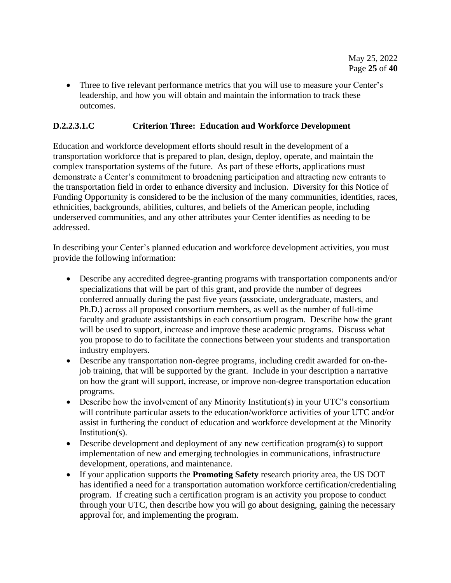• Three to five relevant performance metrics that you will use to measure your Center's leadership, and how you will obtain and maintain the information to track these outcomes.

## **D.2.2.3.1.C Criterion Three: Education and Workforce Development**

Education and workforce development efforts should result in the development of a transportation workforce that is prepared to plan, design, deploy, operate, and maintain the complex transportation systems of the future. As part of these efforts, applications must demonstrate a Center's commitment to broadening participation and attracting new entrants to the transportation field in order to enhance diversity and inclusion. Diversity for this Notice of Funding Opportunity is considered to be the inclusion of the many communities, identities, races, ethnicities, backgrounds, abilities, cultures, and beliefs of the American people, including underserved communities, and any other attributes your Center identifies as needing to be addressed.

In describing your Center's planned education and workforce development activities, you must provide the following information:

- Describe any accredited degree-granting programs with transportation components and/or specializations that will be part of this grant, and provide the number of degrees conferred annually during the past five years (associate, undergraduate, masters, and Ph.D.) across all proposed consortium members, as well as the number of full-time faculty and graduate assistantships in each consortium program. Describe how the grant will be used to support, increase and improve these academic programs. Discuss what you propose to do to facilitate the connections between your students and transportation industry employers.
- Describe any transportation non-degree programs, including credit awarded for on-thejob training, that will be supported by the grant. Include in your description a narrative on how the grant will support, increase, or improve non-degree transportation education programs.
- Describe how the involvement of any Minority Institution(s) in your UTC's consortium will contribute particular assets to the education/workforce activities of your UTC and/or assist in furthering the conduct of education and workforce development at the Minority Institution(s).
- Describe development and deployment of any new certification program(s) to support implementation of new and emerging technologies in communications, infrastructure development, operations, and maintenance.
- If your application supports the **Promoting Safety** research priority area, the US DOT has identified a need for a transportation automation workforce certification/credentialing program. If creating such a certification program is an activity you propose to conduct through your UTC, then describe how you will go about designing, gaining the necessary approval for, and implementing the program.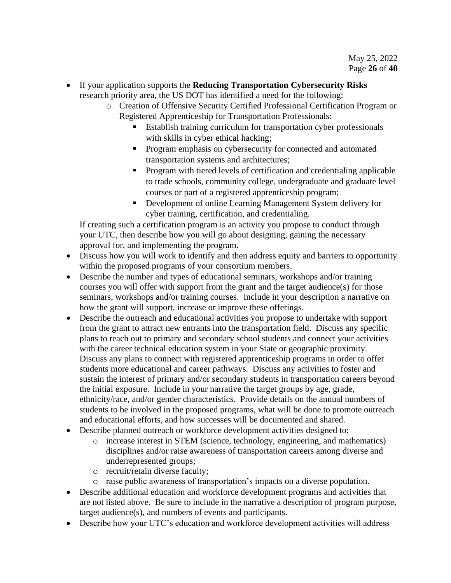- If your application supports the **Reducing Transportation Cybersecurity Risks** research priority area, the US DOT has identified a need for the following:
	- o Creation of Offensive Security Certified Professional Certification Program or Registered Apprenticeship for Transportation Professionals:
		- Establish training curriculum for transportation cyber professionals with skills in cyber ethical hacking;
		- **•** Program emphasis on cybersecurity for connected and automated transportation systems and architectures;
		- Program with tiered levels of certification and credentialing applicable to trade schools, community college, undergraduate and graduate level courses or part of a registered apprenticeship program;
		- Development of online Learning Management System delivery for cyber training, certification, and credentialing.

If creating such a certification program is an activity you propose to conduct through your UTC, then describe how you will go about designing, gaining the necessary approval for, and implementing the program.

- Discuss how you will work to identify and then address equity and barriers to opportunity within the proposed programs of your consortium members.
- Describe the number and types of educational seminars, workshops and/or training courses you will offer with support from the grant and the target audience(s) for those seminars, workshops and/or training courses. Include in your description a narrative on how the grant will support, increase or improve these offerings.
- Describe the outreach and educational activities you propose to undertake with support from the grant to attract new entrants into the transportation field. Discuss any specific plans to reach out to primary and secondary school students and connect your activities with the career technical education system in your State or geographic proximity. Discuss any plans to connect with registered apprenticeship programs in order to offer students more educational and career pathways. Discuss any activities to foster and sustain the interest of primary and/or secondary students in transportation careers beyond the initial exposure. Include in your narrative the target groups by age, grade, ethnicity/race, and/or gender characteristics. Provide details on the annual numbers of students to be involved in the proposed programs, what will be done to promote outreach and educational efforts, and how successes will be documented and shared.
- Describe planned outreach or workforce development activities designed to:
	- o increase interest in STEM (science, technology, engineering, and mathematics) disciplines and/or raise awareness of transportation careers among diverse and underrepresented groups;
	- o recruit/retain diverse faculty;
	- o raise public awareness of transportation's impacts on a diverse population.
- Describe additional education and workforce development programs and activities that are not listed above. Be sure to include in the narrative a description of program purpose, target audience(s), and numbers of events and participants.
- Describe how your UTC's education and workforce development activities will address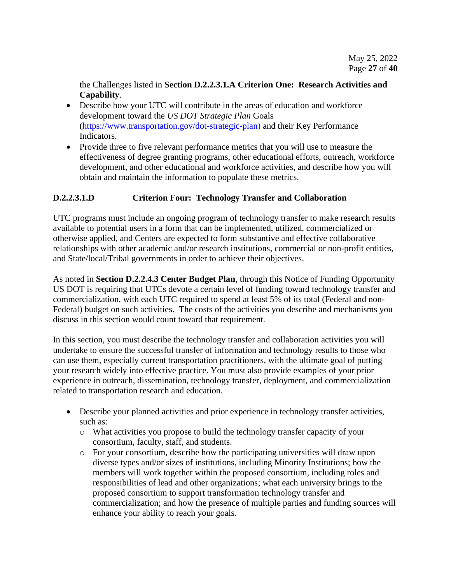the Challenges listed in **Section D.2.2.3.1.A Criterion One: Research Activities and Capability**.

- Describe how your UTC will contribute in the areas of education and workforce development toward the *US DOT Strategic Plan* Goals [\(https://www.transportation.gov/dot-strategic-plan\)](https://www.transportation.gov/dot-strategic-plan) and their Key Performance Indicators.
- Provide three to five relevant performance metrics that you will use to measure the effectiveness of degree granting programs, other educational efforts, outreach, workforce development, and other educational and workforce activities, and describe how you will obtain and maintain the information to populate these metrics.

## **D.2.2.3.1.D Criterion Four: Technology Transfer and Collaboration**

UTC programs must include an ongoing program of technology transfer to make research results available to potential users in a form that can be implemented, utilized, commercialized or otherwise applied, and Centers are expected to form substantive and effective collaborative relationships with other academic and/or research institutions, commercial or non-profit entities, and State/local/Tribal governments in order to achieve their objectives.

As noted in **Section D.2.2.4.3 Center Budget Plan**, through this Notice of Funding Opportunity US DOT is requiring that UTCs devote a certain level of funding toward technology transfer and commercialization, with each UTC required to spend at least 5% of its total (Federal and non-Federal) budget on such activities. The costs of the activities you describe and mechanisms you discuss in this section would count toward that requirement.

In this section, you must describe the technology transfer and collaboration activities you will undertake to ensure the successful transfer of information and technology results to those who can use them, especially current transportation practitioners, with the ultimate goal of putting your research widely into effective practice. You must also provide examples of your prior experience in outreach, dissemination, technology transfer, deployment, and commercialization related to transportation research and education.

- Describe your planned activities and prior experience in technology transfer activities, such as:
	- o What activities you propose to build the technology transfer capacity of your consortium, faculty, staff, and students.
	- o For your consortium, describe how the participating universities will draw upon diverse types and/or sizes of institutions, including Minority Institutions; how the members will work together within the proposed consortium, including roles and responsibilities of lead and other organizations; what each university brings to the proposed consortium to support transformation technology transfer and commercialization; and how the presence of multiple parties and funding sources will enhance your ability to reach your goals.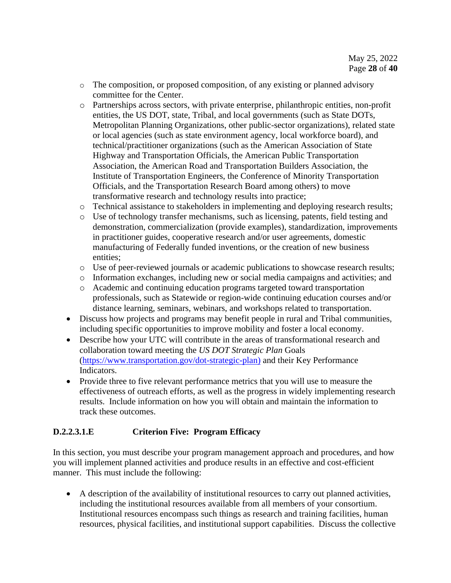- o The composition, or proposed composition, of any existing or planned advisory committee for the Center.
- o Partnerships across sectors, with private enterprise, philanthropic entities, non-profit entities, the US DOT, state, Tribal, and local governments (such as State DOTs, Metropolitan Planning Organizations, other public-sector organizations), related state or local agencies (such as state environment agency, local workforce board), and technical/practitioner organizations (such as the American Association of State Highway and Transportation Officials, the American Public Transportation Association, the American Road and Transportation Builders Association, the Institute of Transportation Engineers, the Conference of Minority Transportation Officials, and the Transportation Research Board among others) to move transformative research and technology results into practice;
- o Technical assistance to stakeholders in implementing and deploying research results;
- o Use of technology transfer mechanisms, such as licensing, patents, field testing and demonstration, commercialization (provide examples), standardization, improvements in practitioner guides, cooperative research and/or user agreements, domestic manufacturing of Federally funded inventions, or the creation of new business entities;
- o Use of peer-reviewed journals or academic publications to showcase research results;
- o Information exchanges, including new or social media campaigns and activities; and
- o Academic and continuing education programs targeted toward transportation professionals, such as Statewide or region-wide continuing education courses and/or distance learning, seminars, webinars, and workshops related to transportation.
- Discuss how projects and programs may benefit people in rural and Tribal communities, including specific opportunities to improve mobility and foster a local economy.
- Describe how your UTC will contribute in the areas of transformational research and collaboration toward meeting the *US DOT Strategic Plan* Goals [\(https://www.transportation.gov/dot-strategic-plan\)](https://www.transportation.gov/dot-strategic-plan) and their Key Performance Indicators.
- Provide three to five relevant performance metrics that you will use to measure the effectiveness of outreach efforts, as well as the progress in widely implementing research results. Include information on how you will obtain and maintain the information to track these outcomes.

## **D.2.2.3.1.E Criterion Five: Program Efficacy**

In this section, you must describe your program management approach and procedures, and how you will implement planned activities and produce results in an effective and cost-efficient manner. This must include the following:

• A description of the availability of institutional resources to carry out planned activities, including the institutional resources available from all members of your consortium. Institutional resources encompass such things as research and training facilities, human resources, physical facilities, and institutional support capabilities. Discuss the collective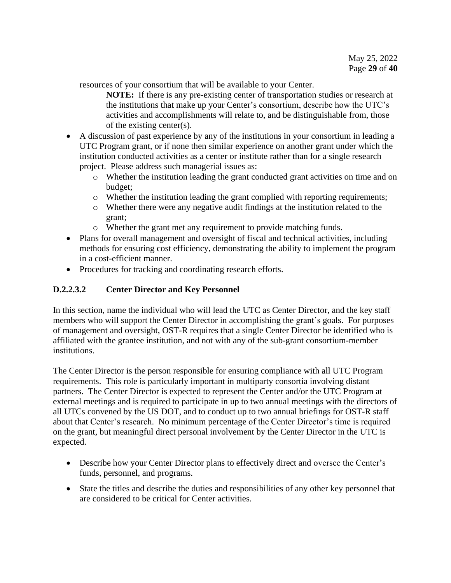resources of your consortium that will be available to your Center.

**NOTE:** If there is any pre-existing center of transportation studies or research at the institutions that make up your Center's consortium, describe how the UTC's activities and accomplishments will relate to, and be distinguishable from, those of the existing center(s).

- A discussion of past experience by any of the institutions in your consortium in leading a UTC Program grant, or if none then similar experience on another grant under which the institution conducted activities as a center or institute rather than for a single research project. Please address such managerial issues as:
	- o Whether the institution leading the grant conducted grant activities on time and on budget;
	- o Whether the institution leading the grant complied with reporting requirements;
	- o Whether there were any negative audit findings at the institution related to the grant;
	- o Whether the grant met any requirement to provide matching funds.
- Plans for overall management and oversight of fiscal and technical activities, including methods for ensuring cost efficiency, demonstrating the ability to implement the program in a cost-efficient manner.
- Procedures for tracking and coordinating research efforts.

# <span id="page-28-0"></span>**D.2.2.3.2 Center Director and Key Personnel**

In this section, name the individual who will lead the UTC as Center Director, and the key staff members who will support the Center Director in accomplishing the grant's goals. For purposes of management and oversight, OST-R requires that a single Center Director be identified who is affiliated with the grantee institution, and not with any of the sub-grant consortium-member institutions.

The Center Director is the person responsible for ensuring compliance with all UTC Program requirements. This role is particularly important in multiparty consortia involving distant partners. The Center Director is expected to represent the Center and/or the UTC Program at external meetings and is required to participate in up to two annual meetings with the directors of all UTCs convened by the US DOT, and to conduct up to two annual briefings for OST-R staff about that Center's research. No minimum percentage of the Center Director's time is required on the grant, but meaningful direct personal involvement by the Center Director in the UTC is expected.

- Describe how your Center Director plans to effectively direct and oversee the Center's funds, personnel, and programs.
- State the titles and describe the duties and responsibilities of any other key personnel that are considered to be critical for Center activities.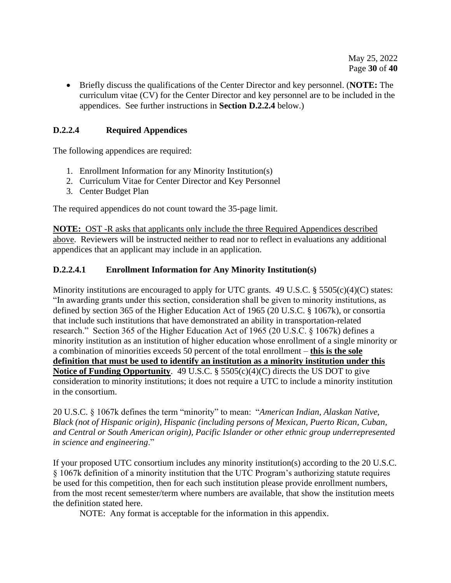• Briefly discuss the qualifications of the Center Director and key personnel. (**NOTE:** The curriculum vitae (CV) for the Center Director and key personnel are to be included in the appendices. See further instructions in **Section D.2.2.4** below.)

## <span id="page-29-0"></span>**D.2.2.4 Required Appendices**

The following appendices are required:

- 1. Enrollment Information for any Minority Institution(s)
- 2. Curriculum Vitae for Center Director and Key Personnel
- 3. Center Budget Plan

The required appendices do not count toward the 35-page limit.

**NOTE:** OST -R asks that applicants only include the three Required Appendices described above. Reviewers will be instructed neither to read nor to reflect in evaluations any additional appendices that an applicant may include in an application.

#### **D.2.2.4.1 Enrollment Information for Any Minority Institution(s)**

Minority institutions are encouraged to apply for UTC grants. 49 U.S.C. § 5505(c)(4)(C) states: "In awarding grants under this section, consideration shall be given to minority institutions, as defined by section 365 of the Higher Education Act of 1965 (20 U.S.C. § 1067k), or consortia that include such institutions that have demonstrated an ability in transportation-related research." Section 365 of the Higher Education Act of 1965 (20 U.S.C. § 1067k) defines a minority institution as an institution of higher education whose enrollment of a single minority or a combination of minorities exceeds 50 percent of the total enrollment – **this is the sole definition that must be used to identify an institution as a minority institution under this Notice of Funding Opportunity**. 49 U.S.C. § 5505(c)(4)(C) directs the US DOT to give consideration to minority institutions; it does not require a UTC to include a minority institution in the consortium.

20 U.S.C. § 1067k defines the term "minority" to mean: "*American Indian, Alaskan Native, Black (not of Hispanic origin), Hispanic (including persons of Mexican, Puerto Rican, Cuban, and Central or South American origin), Pacific Islander or other ethnic group underrepresented in science and engineering*."

If your proposed UTC consortium includes any minority institution(s) according to the 20 U.S.C. § 1067k definition of a minority institution that the UTC Program's authorizing statute requires be used for this competition, then for each such institution please provide enrollment numbers, from the most recent semester/term where numbers are available, that show the institution meets the definition stated here.

NOTE: Any format is acceptable for the information in this appendix.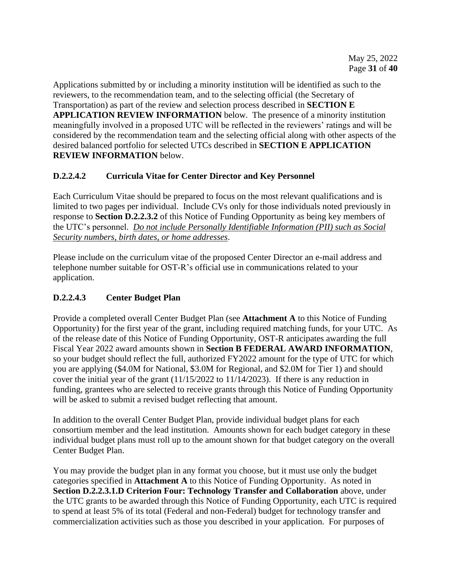Applications submitted by or including a minority institution will be identified as such to the reviewers, to the recommendation team, and to the selecting official (the Secretary of Transportation) as part of the review and selection process described in **SECTION E APPLICATION REVIEW INFORMATION** below. The presence of a minority institution meaningfully involved in a proposed UTC will be reflected in the reviewers' ratings and will be considered by the recommendation team and the selecting official along with other aspects of the desired balanced portfolio for selected UTCs described in **SECTION E APPLICATION REVIEW INFORMATION** below.

# **D.2.2.4.2 Curricula Vitae for Center Director and Key Personnel**

Each Curriculum Vitae should be prepared to focus on the most relevant qualifications and is limited to two pages per individual. Include CVs only for those individuals noted previously in response to **Section D.2.2.3.2** of this Notice of Funding Opportunity as being key members of the UTC's personnel. *Do not include Personally Identifiable Information (PII) such as Social Security numbers, birth dates, or home addresses*.

Please include on the curriculum vitae of the proposed Center Director an e-mail address and telephone number suitable for OST-R's official use in communications related to your application.

# **D.2.2.4.3 Center Budget Plan**

Provide a completed overall Center Budget Plan (see **Attachment A** to this Notice of Funding Opportunity) for the first year of the grant, including required matching funds, for your UTC. As of the release date of this Notice of Funding Opportunity, OST-R anticipates awarding the full Fiscal Year 2022 award amounts shown in **Section B FEDERAL AWARD INFORMATION**, so your budget should reflect the full, authorized FY2022 amount for the type of UTC for which you are applying (\$4.0M for National, \$3.0M for Regional, and \$2.0M for Tier 1) and should cover the initial year of the grant (11/15/2022 to 11/14/2023). If there is any reduction in funding, grantees who are selected to receive grants through this Notice of Funding Opportunity will be asked to submit a revised budget reflecting that amount.

In addition to the overall Center Budget Plan, provide individual budget plans for each consortium member and the lead institution. Amounts shown for each budget category in these individual budget plans must roll up to the amount shown for that budget category on the overall Center Budget Plan.

You may provide the budget plan in any format you choose, but it must use only the budget categories specified in **Attachment A** to this Notice of Funding Opportunity. As noted in **Section D.2.2.3.1.D Criterion Four: Technology Transfer and Collaboration** above, under the UTC grants to be awarded through this Notice of Funding Opportunity, each UTC is required to spend at least 5% of its total (Federal and non-Federal) budget for technology transfer and commercialization activities such as those you described in your application. For purposes of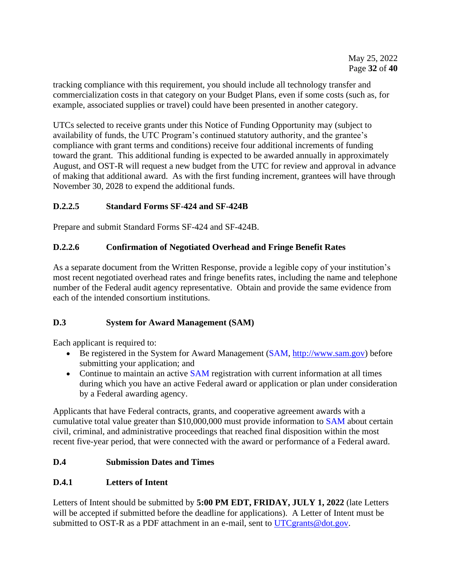tracking compliance with this requirement, you should include all technology transfer and commercialization costs in that category on your Budget Plans, even if some costs (such as, for example, associated supplies or travel) could have been presented in another category.

UTCs selected to receive grants under this Notice of Funding Opportunity may (subject to availability of funds, the UTC Program's continued statutory authority, and the grantee's compliance with grant terms and conditions) receive four additional increments of funding toward the grant. This additional funding is expected to be awarded annually in approximately August, and OST-R will request a new budget from the UTC for review and approval in advance of making that additional award. As with the first funding increment, grantees will have through November 30, 2028 to expend the additional funds.

## <span id="page-31-0"></span>**D.2.2.5 Standard Forms SF-424 and SF-424B**

Prepare and submit Standard Forms SF-424 and SF-424B.

## <span id="page-31-1"></span>**D.2.2.6 Confirmation of Negotiated Overhead and Fringe Benefit Rates**

As a separate document from the Written Response, provide a legible copy of your institution's most recent negotiated overhead rates and fringe benefits rates, including the name and telephone number of the Federal audit agency representative. Obtain and provide the same evidence from each of the intended consortium institutions.

## <span id="page-31-2"></span>**D.3 System for Award Management (SAM)**

Each applicant is required to:

- Be registered in the [System for Award Management](http://www.sam.gov/) [\(SAM,](https://www.sam.gov/) [http://www.sam.gov\)](http://www.sam.gov/) before submitting your application; and
- Continue to maintain an active [SAM](https://www.sam.gov/) registration with current information at all times during which you have an active Federal award or application or plan under consideration by a Federal awarding agency.

Applicants that have Federal contracts, grants, and cooperative agreement awards with a cumulative total value greater than \$10,000,000 must provide information to [SAM](https://www.sam.gov/) about certain civil, criminal, and administrative proceedings that reached final disposition within the most recent five-year period, that were connected with the award or performance of a Federal award.

## <span id="page-31-3"></span>**D.4 Submission Dates and Times**

## <span id="page-31-4"></span>**D.4.1 Letters of Intent**

Letters of Intent should be submitted by **5:00 PM EDT, FRIDAY, JULY 1, 2022** (late Letters will be accepted if submitted before the deadline for applications). A Letter of Intent must be submitted to OST-R as a PDF attachment in an e-mail, sent to [UTCgrants@dot.gov.](mailto:UTCgrants@dot.gov)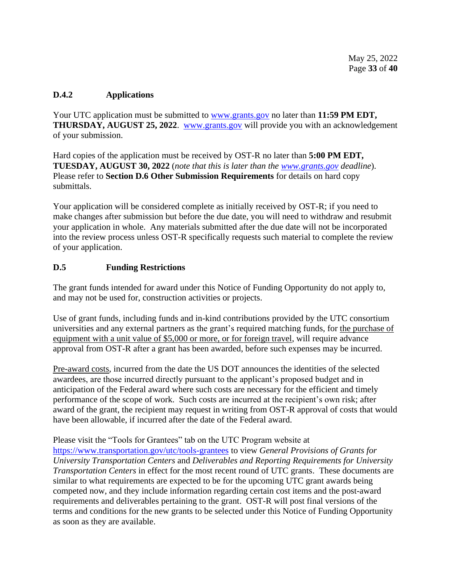## <span id="page-32-0"></span>**D.4.2 Applications**

Your UTC application must be submitted to [www.grants.gov](http://www.grants.gov/) no later than **11:59 PM EDT**, **THURSDAY, AUGUST 25, 2022.** [www.grants.gov](http://www.grants.gov/) will provide you with an acknowledgement of your submission.

Hard copies of the application must be received by OST-R no later than **5:00 PM EDT, TUESDAY, AUGUST 30, 2022** (*note that this is later than the [www.grants.gov](http://www.grants.gov/) deadline*). Please refer to **Section D.6 Other Submission Requirements** for details on hard copy submittals.

Your application will be considered complete as initially received by OST-R; if you need to make changes after submission but before the due date, you will need to withdraw and resubmit your application in whole. Any materials submitted after the due date will not be incorporated into the review process unless OST-R specifically requests such material to complete the review of your application.

## <span id="page-32-1"></span>**D.5 Funding Restrictions**

The grant funds intended for award under this Notice of Funding Opportunity do not apply to, and may not be used for, construction activities or projects.

Use of grant funds, including funds and in-kind contributions provided by the UTC consortium universities and any external partners as the grant's required matching funds, for the purchase of equipment with a unit value of \$5,000 or more, or for foreign travel, will require advance approval from OST-R after a grant has been awarded, before such expenses may be incurred.

Pre-award costs, incurred from the date the US DOT announces the identities of the selected awardees, are those incurred directly pursuant to the applicant's proposed budget and in anticipation of the Federal award where such costs are necessary for the efficient and timely performance of the scope of work. Such costs are incurred at the recipient's own risk; after award of the grant, the recipient may request in writing from OST-R approval of costs that would have been allowable, if incurred after the date of the Federal award.

## Please visit the "Tools for Grantees" tab on the UTC Program website at

<https://www.transportation.gov/utc/tools-grantees> to view *General Provisions of Grants for University Transportation Centers* and *Deliverables and Reporting Requirements for University Transportation Centers* in effect for the most recent round of UTC grants. These documents are similar to what requirements are expected to be for the upcoming UTC grant awards being competed now, and they include information regarding certain cost items and the post-award requirements and deliverables pertaining to the grant. OST-R will post final versions of the terms and conditions for the new grants to be selected under this Notice of Funding Opportunity as soon as they are available.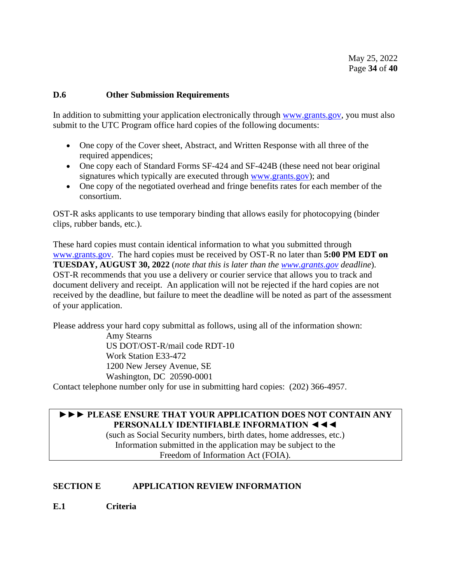#### <span id="page-33-0"></span>**D.6 Other Submission Requirements**

In addition to submitting your application electronically through [www.grants.gov,](http://www.grants.gov/) you must also submit to the UTC Program office hard copies of the following documents:

- One copy of the Cover sheet, Abstract, and Written Response with all three of the required appendices;
- One copy each of Standard Forms SF-424 and SF-424B (these need not bear original signatures which typically are executed through [www.grants.gov\)](http://www.grants.gov/); and
- One copy of the negotiated overhead and fringe benefits rates for each member of the consortium.

OST-R asks applicants to use temporary binding that allows easily for photocopying (binder clips, rubber bands, etc.).

These hard copies must contain identical information to what you submitted through [www.grants.gov.](http://www.grants.gov/) The hard copies must be received by OST-R no later than **5:00 PM EDT on TUESDAY, AUGUST 30, 2022** (*note that this is later than the [www.grants.gov](http://www.grants.gov/) deadline*). OST-R recommends that you use a delivery or courier service that allows you to track and document delivery and receipt. An application will not be rejected if the hard copies are not received by the deadline, but failure to meet the deadline will be noted as part of the assessment of your application.

Please address your hard copy submittal as follows, using all of the information shown:

Amy Stearns US DOT/OST-R/mail code RDT-10 Work Station E33-472 1200 New Jersey Avenue, SE Washington, DC 20590-0001

Contact telephone number only for use in submitting hard copies: (202) 366-4957.

## **►►► PLEASE ENSURE THAT YOUR APPLICATION DOES NOT CONTAIN ANY PERSONALLY IDENTIFIABLE INFORMATION ◄◄◄**

(such as Social Security numbers, birth dates, home addresses, etc.) Information submitted in the application may be subject to the Freedom of Information Act (FOIA).

## <span id="page-33-1"></span>**SECTION E APPLICATION REVIEW INFORMATION**

<span id="page-33-2"></span>**E.1 Criteria**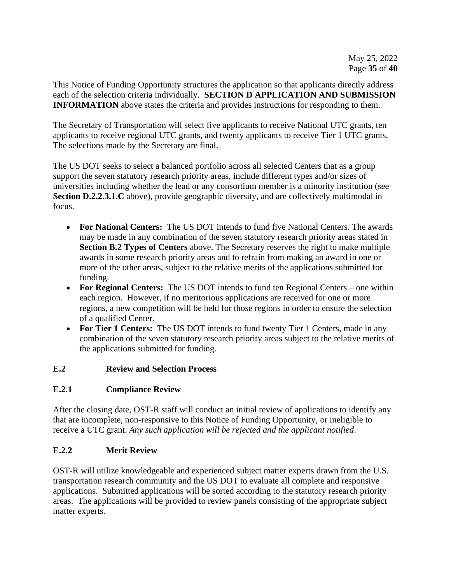This Notice of Funding Opportunity structures the application so that applicants directly address each of the selection criteria individually. **SECTION D APPLICATION AND SUBMISSION INFORMATION** above states the criteria and provides instructions for responding to them.

The Secretary of Transportation will select five applicants to receive National UTC grants, ten applicants to receive regional UTC grants, and twenty applicants to receive Tier 1 UTC grants. The selections made by the Secretary are final.

The US DOT seeks to select a balanced portfolio across all selected Centers that as a group support the seven statutory research priority areas, include different types and/or sizes of universities including whether the lead or any consortium member is a minority institution (see **Section D.2.2.3.1.C** above), provide geographic diversity, and are collectively multimodal in focus.

- **For National Centers:** The US DOT intends to fund five National Centers. The awards may be made in any combination of the seven statutory research priority areas stated in **Section B.2 Types of Centers** above. The Secretary reserves the right to make multiple awards in some research priority areas and to refrain from making an award in one or more of the other areas, subject to the relative merits of the applications submitted for funding.
- **For Regional Centers:** The US DOT intends to fund ten Regional Centers one within each region. However, if no meritorious applications are received for one or more regions, a new competition will be held for those regions in order to ensure the selection of a qualified Center.
- **For Tier 1 Centers:** The US DOT intends to fund twenty Tier 1 Centers, made in any combination of the seven statutory research priority areas subject to the relative merits of the applications submitted for funding.

# <span id="page-34-0"></span>**E.2 Review and Selection Process**

# **E.2.1 Compliance Review**

After the closing date, OST-R staff will conduct an initial review of applications to identify any that are incomplete, non-responsive to this Notice of Funding Opportunity, or ineligible to receive a UTC grant. *Any such application will be rejected and the applicant notified*.

# **E.2.2 Merit Review**

OST-R will utilize knowledgeable and experienced subject matter experts drawn from the U.S. transportation research community and the US DOT to evaluate all complete and responsive applications. Submitted applications will be sorted according to the statutory research priority areas. The applications will be provided to review panels consisting of the appropriate subject matter experts.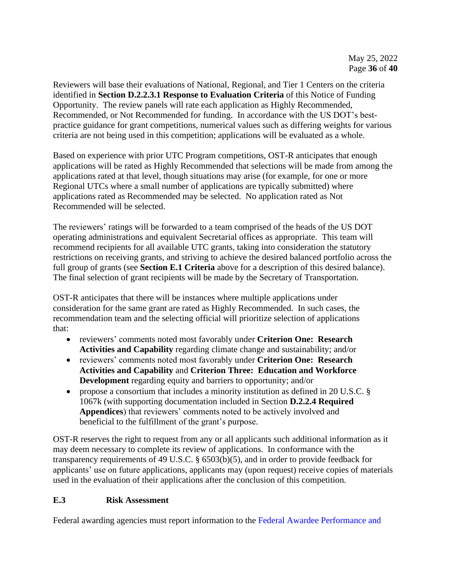Reviewers will base their evaluations of National, Regional, and Tier 1 Centers on the criteria identified in **Section D.2.2.3.1 Response to Evaluation Criteria** of this Notice of Funding Opportunity. The review panels will rate each application as Highly Recommended, Recommended, or Not Recommended for funding. In accordance with the US DOT's bestpractice guidance for grant competitions, numerical values such as differing weights for various criteria are not being used in this competition; applications will be evaluated as a whole.

Based on experience with prior UTC Program competitions, OST-R anticipates that enough applications will be rated as Highly Recommended that selections will be made from among the applications rated at that level, though situations may arise (for example, for one or more Regional UTCs where a small number of applications are typically submitted) where applications rated as Recommended may be selected. No application rated as Not Recommended will be selected.

The reviewers' ratings will be forwarded to a team comprised of the heads of the US DOT operating administrations and equivalent Secretarial offices as appropriate. This team will recommend recipients for all available UTC grants, taking into consideration the statutory restrictions on receiving grants, and striving to achieve the desired balanced portfolio across the full group of grants (see **Section E.1 Criteria** above for a description of this desired balance). The final selection of grant recipients will be made by the Secretary of Transportation.

OST-R anticipates that there will be instances where multiple applications under consideration for the same grant are rated as Highly Recommended. In such cases, the recommendation team and the selecting official will prioritize selection of applications that:

- reviewers' comments noted most favorably under **Criterion One: Research Activities and Capability** regarding climate change and sustainability; and/or
- reviewers' comments noted most favorably under **Criterion One: Research Activities and Capability** and **Criterion Three: Education and Workforce Development** regarding equity and barriers to opportunity; and/or
- propose a consortium that includes a minority institution as defined in 20 U.S.C. § 1067k (with supporting documentation included in Section **D.2.2.4 Required Appendices**) that reviewers' comments noted to be actively involved and beneficial to the fulfillment of the grant's purpose.

OST-R reserves the right to request from any or all applicants such additional information as it may deem necessary to complete its review of applications. In conformance with the transparency requirements of 49 U.S.C. § 6503(b)(5), and in order to provide feedback for applicants' use on future applications, applicants may (upon request) receive copies of materials used in the evaluation of their applications after the conclusion of this competition.

# **E.3 Risk Assessment**

Federal awarding agencies must report information to the [Federal Awardee Performance and](https://www.fapiis.gov/)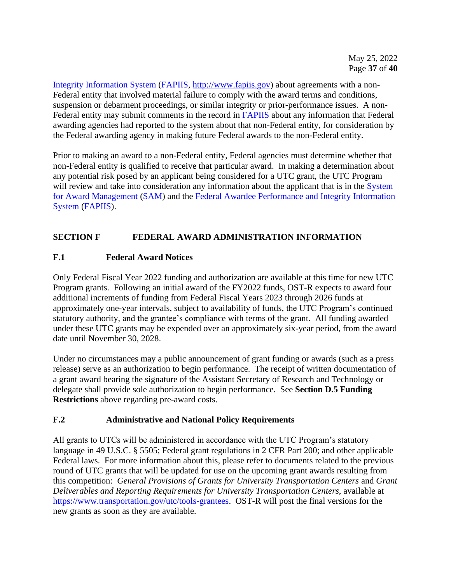[Integrity Information System](https://www.fapiis.gov/) [\(FAPIIS,](https://www.fapiis.gov/) [http://www.fapiis.gov\)](http://www.fapiis.gov/) about agreements with a non-Federal entity that involved material failure to comply with the award terms and conditions, suspension or debarment proceedings, or similar integrity or prior-performance issues. A non-Federal entity may submit comments in the record in [FAPIIS](https://www.fapiis.gov/) about any information that Federal awarding agencies had reported to the system about that non-Federal entity, for consideration by the Federal awarding agency in making future Federal awards to the non-Federal entity.

Prior to making an award to a non-Federal entity, Federal agencies must determine whether that non-Federal entity is qualified to receive that particular award. In making a determination about any potential risk posed by an applicant being considered for a UTC grant, the UTC Program will review and take into consideration any information about the applicant that is in the System [for Award Management](http://www.sam.gov/) [\(SAM\)](https://www.sam.gov/) and the [Federal Awardee Performance and Integrity Information](https://www.fapiis.gov/)  [System](https://www.fapiis.gov/) [\(FAPIIS\)](https://www.fapiis.gov/).

# <span id="page-36-0"></span>**SECTION F FEDERAL AWARD ADMINISTRATION INFORMATION**

## <span id="page-36-1"></span>**F.1 Federal Award Notices**

Only Federal Fiscal Year 2022 funding and authorization are available at this time for new UTC Program grants. Following an initial award of the FY2022 funds, OST-R expects to award four additional increments of funding from Federal Fiscal Years 2023 through 2026 funds at approximately one-year intervals, subject to availability of funds, the UTC Program's continued statutory authority, and the grantee's compliance with terms of the grant. All funding awarded under these UTC grants may be expended over an approximately six-year period, from the award date until November 30, 2028.

Under no circumstances may a public announcement of grant funding or awards (such as a press release) serve as an authorization to begin performance. The receipt of written documentation of a grant award bearing the signature of the Assistant Secretary of Research and Technology or delegate shall provide sole authorization to begin performance. See **Section D.5 Funding Restrictions** above regarding pre-award costs.

## <span id="page-36-2"></span>**F.2 Administrative and National Policy Requirements**

All grants to UTCs will be administered in accordance with the UTC Program's statutory language in 49 U.S.C. § 5505; Federal grant regulations in 2 CFR Part 200; and other applicable Federal laws. For more information about this, please refer to documents related to the previous round of UTC grants that will be updated for use on the upcoming grant awards resulting from this competition: *General Provisions of Grants for University Transportation Centers* and *Grant Deliverables and Reporting Requirements for University Transportation Centers*, available at [https://www.transportation.gov/utc/tools-grantees.](https://www.transportation.gov/utc/tools-grantees) OST-R will post the final versions for the new grants as soon as they are available.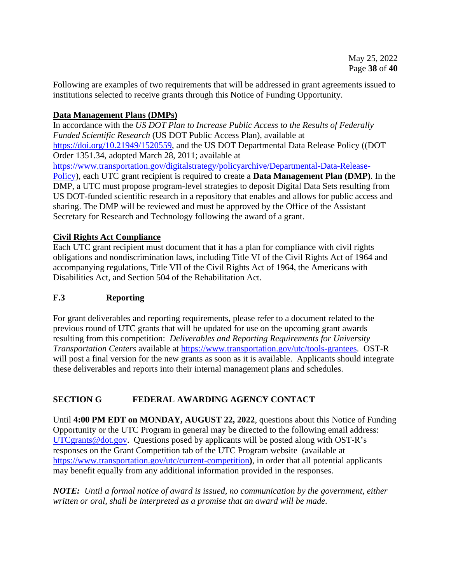Following are examples of two requirements that will be addressed in grant agreements issued to institutions selected to receive grants through this Notice of Funding Opportunity.

## **Data Management Plans (DMPs)**

In accordance with the *US DOT Plan to Increase Public Access to the Results of Federally Funded Scientific Research* (US DOT Public Access Plan), available at [https://doi.org/10.21949/1520559,](https://doi.org/10.21949/1520559) and the US DOT Departmental Data Release Policy ((DOT Order 1351.34, adopted March 28, 2011; available at [https://www.transportation.gov/digitalstrategy/policyarchive/Departmental-Data-Release-](https://www.transportation.gov/digitalstrategy/policyarchive/Departmental-Data-Release-Policy)[Policy\)](https://www.transportation.gov/digitalstrategy/policyarchive/Departmental-Data-Release-Policy), each UTC grant recipient is required to create a **Data Management Plan (DMP)**. In the DMP, a UTC must propose program-level strategies to deposit Digital Data Sets resulting from US DOT-funded scientific research in a repository that enables and allows for public access and sharing. The DMP will be reviewed and must be approved by the Office of the Assistant Secretary for Research and Technology following the award of a grant.

## **Civil Rights Act Compliance**

Each UTC grant recipient must document that it has a plan for compliance with civil rights obligations and nondiscrimination laws, including Title VI of the Civil Rights Act of 1964 and accompanying regulations, Title VII of the Civil Rights Act of 1964, the Americans with Disabilities Act, and Section 504 of the Rehabilitation Act.

## <span id="page-37-0"></span>**F.3 Reporting**

For grant deliverables and reporting requirements, please refer to a document related to the previous round of UTC grants that will be updated for use on the upcoming grant awards resulting from this competition: *Deliverables and Reporting Requirements for University Transportation Centers* available at [https://www.transportation.gov/utc/tools-grantees.](https://www.transportation.gov/utc/tools-grantees) OST-R will post a final version for the new grants as soon as it is available. Applicants should integrate these deliverables and reports into their internal management plans and schedules.

## <span id="page-37-1"></span>**SECTION G FEDERAL AWARDING AGENCY CONTACT**

Until **4:00 PM EDT on MONDAY, AUGUST 22, 2022**, questions about this Notice of Funding Opportunity or the UTC Program in general may be directed to the following email address: [UTCgrants@dot.gov.](mailto:UTCgrants@dot.gov) Questions posed by applicants will be posted along with OST-R's responses on the Grant Competition tab of the UTC Program website (available at <https://www.transportation.gov/utc/current-competition>**)**, in order that all potential applicants may benefit equally from any additional information provided in the responses.

*NOTE: Until a formal notice of award is issued, no communication by the government, either written or oral, shall be interpreted as a promise that an award will be made.*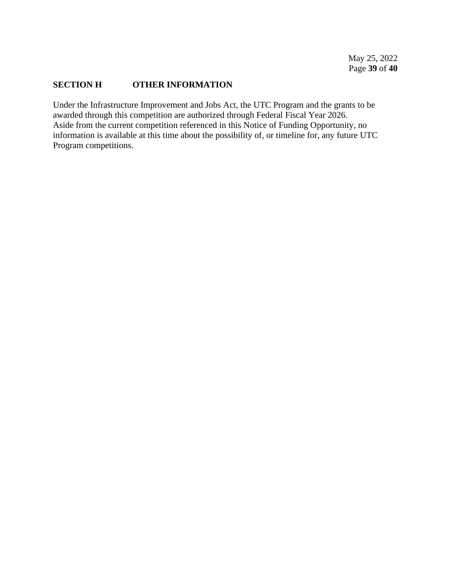#### <span id="page-38-0"></span>**SECTION H OTHER INFORMATION**

Under the Infrastructure Improvement and Jobs Act, the UTC Program and the grants to be awarded through this competition are authorized through Federal Fiscal Year 2026. Aside from the current competition referenced in this Notice of Funding Opportunity, no information is available at this time about the possibility of, or timeline for, any future UTC Program competitions.